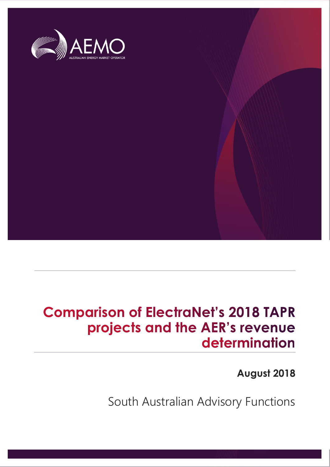

## **Comparison of ElectraNet's 2018 TAPR** projects and the AER's revenue determination

**August 2018**

South Australian Advisory Functions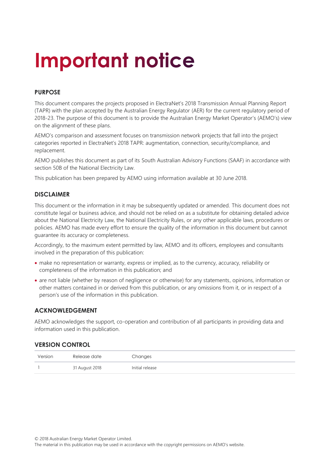# **Important notice**

#### **PURPOSE**

This document compares the projects proposed in ElectraNet's 2018 Transmission Annual Planning Report (TAPR) with the plan accepted by the Australian Energy Regulator (AER) for the current regulatory period of 2018-23. The purpose of this document is to provide the Australian Energy Market Operator's (AEMO's) view on the alignment of these plans.

AEMO's comparison and assessment focuses on transmission network projects that fall into the project categories reported in ElectraNet's 2018 TAPR: augmentation, connection, security/compliance, and replacement.

AEMO publishes this document as part of its South Australian Advisory Functions (SAAF) in accordance with section 50B of the National Electricity Law.

This publication has been prepared by AEMO using information available at 30 June 2018.

#### **DISCLAIMER**

This document or the information in it may be subsequently updated or amended. This document does not constitute legal or business advice, and should not be relied on as a substitute for obtaining detailed advice about the National Electricity Law, the National Electricity Rules, or any other applicable laws, procedures or policies. AEMO has made every effort to ensure the quality of the information in this document but cannot guarantee its accuracy or completeness.

Accordingly, to the maximum extent permitted by law, AEMO and its officers, employees and consultants involved in the preparation of this publication:

- make no representation or warranty, express or implied, as to the currency, accuracy, reliability or completeness of the information in this publication; and
- are not liable (whether by reason of negligence or otherwise) for any statements, opinions, information or other matters contained in or derived from this publication, or any omissions from it, or in respect of a person's use of the information in this publication.

#### **ACKNOWLEDGEMENT**

AEMO acknowledges the support, co-operation and contribution of all participants in providing data and information used in this publication.

#### **VERSION CONTROL**

| Version | Release date   | Changes         |
|---------|----------------|-----------------|
|         | 31 August 2018 | Initial release |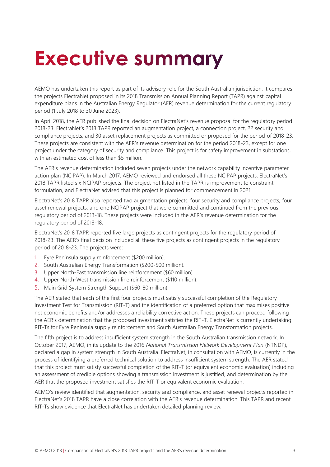## <span id="page-2-0"></span>**Executive summary**

AEMO has undertaken this report as part of its advisory role for the South Australian jurisdiction. It compares the projects ElectraNet proposed in its 2018 Transmission Annual Planning Report (TAPR) against capital expenditure plans in the Australian Energy Regulator (AER) revenue determination for the current regulatory period (1 July 2018 to 30 June 2023).

In April 2018, the AER published the final decision on ElectraNet's revenue proposal for the regulatory period 2018-23. ElectraNet's 2018 TAPR reported an augmentation project, a connection project, 22 security and compliance projects, and 30 asset replacement projects as committed or proposed for the period of 2018-23. These projects are consistent with the AER's revenue determination for the period 2018-23, except for one project under the category of security and compliance. This project is for safety improvement in substations, with an estimated cost of less than \$5 million.

The AER's revenue determination included seven projects under the network capability incentive parameter action plan (NCIPAP). In March 2017, AEMO reviewed and endorsed all these NCIPAP projects. ElectraNet's 2018 TAPR listed six NCIPAP projects. The project not listed in the TAPR is improvement to constraint formulation, and ElectraNet advised that this project is planned for commencement in 2021.

ElectraNet's 2018 TAPR also reported two augmentation projects, four security and compliance projects, four asset renewal projects, and one NCIPAP project that were committed and continued from the previous regulatory period of 2013-18. These projects were included in the AER's revenue determination for the regulatory period of 2013-18.

ElectraNet's 2018 TAPR reported five large projects as contingent projects for the regulatory period of 2018-23. The AER's final decision included all these five projects as contingent projects in the regulatory period of 2018-23. The projects were:

- 1. Eyre Peninsula supply reinforcement (\$200 million).
- 2. South Australian Energy Transformation (\$200-500 million).
- 3. Upper North-East transmission line reinforcement (\$60 million).
- 4. Upper North-West transmission line reinforcement (\$110 million).
- 5. Main Grid System Strength Support (\$60-80 million).

The AER stated that each of the first four projects must satisfy successful completion of the Regulatory Investment Test for Transmission (RIT-T) and the identification of a preferred option that maximises positive net economic benefits and/or addresses a reliability corrective action. These projects can proceed following the AER's determination that the proposed investment satisfies the RIT-T. ElectraNet is currently undertaking RIT-Ts for Eyre Peninsula supply reinforcement and South Australian Energy Transformation projects.

The fifth project is to address insufficient system strength in the South Australian transmission network. In October 2017, AEMO, in its update to the 2016 *National Transmission Network Development Plan* (NTNDP), declared a gap in system strength in South Australia. ElectraNet, in consultation with AEMO, is currently in the process of identifying a preferred technical solution to address insufficient system strength. The AER stated that this project must satisfy successful completion of the RIT-T (or equivalent economic evaluation) including an assessment of credible options showing a transmission investment is justified, and determination by the AER that the proposed investment satisfies the RIT-T or equivalent economic evaluation.

AEMO's review identified that augmentation, security and compliance, and asset renewal projects reported in ElectraNet's 2018 TAPR have a close correlation with the AER's revenue determination. This TAPR and recent RIT-Ts show evidence that ElectraNet has undertaken detailed planning review.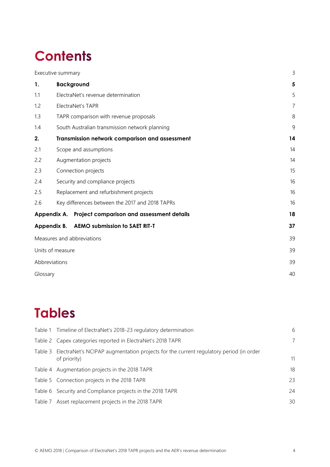## **Contents**

|                  | Executive summary                                     | 3  |  |  |  |  |
|------------------|-------------------------------------------------------|----|--|--|--|--|
| 1.               | <b>Background</b>                                     | 5  |  |  |  |  |
| 1.1              | ElectraNet's revenue determination                    | 5  |  |  |  |  |
| 1.2              | ElectraNet's TAPR                                     | 7  |  |  |  |  |
| 1.3              | TAPR comparison with revenue proposals                | 8  |  |  |  |  |
| 1.4              | South Australian transmission network planning        |    |  |  |  |  |
| 2.               | Transmission network comparison and assessment        | 14 |  |  |  |  |
| 2.1              | Scope and assumptions                                 | 14 |  |  |  |  |
| 2.2              | Augmentation projects                                 | 14 |  |  |  |  |
| 2.3              | Connection projects                                   |    |  |  |  |  |
| 2.4              | Security and compliance projects                      |    |  |  |  |  |
| 2.5              | Replacement and refurbishment projects                | 16 |  |  |  |  |
| 2.6              | Key differences between the 2017 and 2018 TAPRs       | 16 |  |  |  |  |
|                  | Appendix A. Project comparison and assessment details | 18 |  |  |  |  |
|                  | <b>AEMO submission to SAET RIT-T</b><br>Appendix B.   | 37 |  |  |  |  |
|                  | Measures and abbreviations                            | 39 |  |  |  |  |
| Units of measure |                                                       |    |  |  |  |  |
|                  | Abbreviations                                         | 39 |  |  |  |  |
|                  | Glossary                                              |    |  |  |  |  |

## **Tables**

| Table 1 Timeline of ElectraNet's 2018-23 regulatory determination                                             | 6  |
|---------------------------------------------------------------------------------------------------------------|----|
| Table 2 Capex categories reported in ElectraNet's 2018 TAPR                                                   | 7  |
| Table 3 ElectraNet's NCIPAP augmentation projects for the current regulatory period (in order<br>of priority) | 11 |
| Table 4 Augmentation projects in the 2018 TAPR                                                                | 18 |
| Table 5 Connection projects in the 2018 TAPR                                                                  | 23 |
| Table 6 Security and Compliance projects in the 2018 TAPR                                                     | 24 |
| Table 7 Asset replacement projects in the 2018 TAPR                                                           | 30 |
|                                                                                                               |    |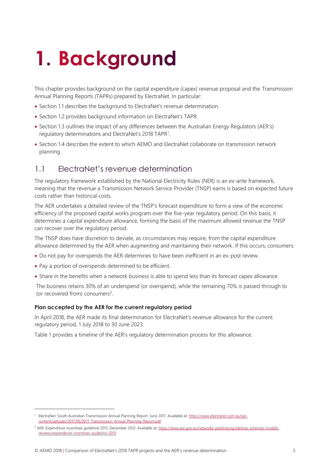# <span id="page-4-0"></span>1. Background

This chapter provides background on the capital expenditure (capex) revenue proposal and the Transmission Annual Planning Reports (TAPRs) prepared by ElectraNet. In particular:

- Section [1.1](#page-4-1) describes the background to ElectraNet's revenue determination.
- Section [1.2](#page-6-0) provides background information on ElectraNet's TAPR.
- Section [1.3](#page-7-0) outlines the impact of any differences between the Australian Energy Regulators (AER's) regulatory determinations and ElectraNet's 2018 TAPR<sup>1</sup>.
- Section [1.4](#page-8-0) describes the extent to which AEMO and ElectraNet collaborate on transmission network planning.

### <span id="page-4-1"></span>1.1 ElectraNet's revenue determination

The regulatory framework established by the National Electricity Rules (NER) is an ex-ante framework, meaning that the revenue a Transmission Network Service Provider (TNSP) earns is based on expected future costs rather than historical costs.

The AER undertakes a detailed review of the TNSP's forecast expenditure to form a view of the economic efficiency of the proposed capital works program over the five-year regulatory period. On this basis, it determines a capital expenditure allowance, forming the basis of the maximum allowed revenue the TNSP can recover over the regulatory period.

The TNSP does have discretion to deviate, as circumstances may require, from the capital expenditure allowance determined by the AER when augmenting and maintaining their network. If this occurs, consumers:

- Do not pay for overspends the AER determines to have been inefficient in an ex-post review.
- Pay a portion of overspends determined to be efficient.

 $\overline{a}$ 

• Share in the benefits when a network business is able to spend less than its forecast capex allowance.

The business retains 30% of an underspend (or overspend), while the remaining 70% is passed through to (or recovered from) consumers<sup>2</sup>.

#### **Plan accepted by the AER for the current regulatory period**

In April 2018, the AER made its final determination for ElectraNet's revenue allowance for the current regulatory period, 1 July 2018 to 30 June 2023.

[Table 1](#page-5-0) provides a timeline of the AER's regulatory determination process for this allowance.

<sup>&</sup>lt;sup>1</sup> ElectraNet. South Australian Transmission Annual Planning Report. June 2017. Available at: [https://www.electranet.com.au/wp](https://www.electranet.com.au/wp-content/uploads/2017/06/2017-Transmission-Annual-Planning-Report.pdf)[content/uploads/2017/06/2017-Transmission-Annual-Planning-Report.pdf.](https://www.electranet.com.au/wp-content/uploads/2017/06/2017-Transmission-Annual-Planning-Report.pdf) 

<sup>&</sup>lt;sup>2</sup> AER: Expenditure incentives guideline 2013. December 2012. Available at: [https://www.aer.gov.au/networks-pipelines/guidelines-schemes-models](https://www.aer.gov.au/networks-pipelines/guidelines-schemes-models-reviews/expenditure-incentives-guideline-2013)[reviews/expenditure-incentives-guideline-2013.](https://www.aer.gov.au/networks-pipelines/guidelines-schemes-models-reviews/expenditure-incentives-guideline-2013)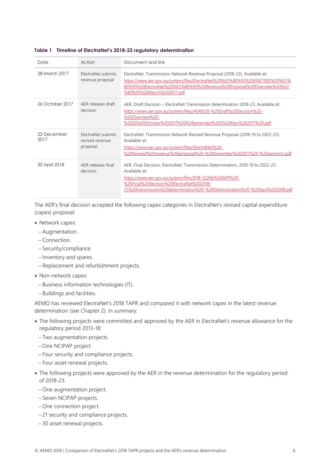| Date                | Action                                                   | Document and link                                                                                                                                                                                                                                                                        |
|---------------------|----------------------------------------------------------|------------------------------------------------------------------------------------------------------------------------------------------------------------------------------------------------------------------------------------------------------------------------------------------|
| 28 March 2017       | ElectraNet submits<br>revenue proposal                   | ElectraNet. Transmission Network Revenue Proposal (2018-23). Available at:<br>https://www.aer.gov.au/system/files/ElectraNet%20%E2%80%93%20ENET002%20%E2%<br>80%93%20ElectraNet%20%E2%80%93%20Revenue%20Proposal%20Overview%20%E2<br>80%93%20March%202017.pdf                            |
| 26 October 2017     | AFR releases draft<br>decision                           | AFR Draft Decision – ElectraNet Transmission determination 2018-23 Available at:<br>https://www.aer.gov.au/system/files/AER%20-%20Draft%20Decision%20-<br>%20Overview%20-<br>%2026%20October%202017%20%28amended%203%20Nov%202017%29.pdf                                                 |
| 22 December<br>2017 | <b>FlectraNet submits</b><br>revised revenue<br>proposal | ElectraNet. Transmission Network Revised Revenue Proposal (2018-19 to 2022-23).<br>Available at:<br>https://www.aer.gov.au/system/files/ElectraNet%20-<br>%20Revised%20revenue%20proposal%20-%20December%202017%20-%20version2.pdf                                                       |
| 30 April 2018       | AFR releases final<br>decision                           | AER, Final Decision, ElectraNet, Transmission Determination, 2018-19 to 2022-23.<br>Available at:<br>https://www.aer.gov.au/system/files/D18-32266%20AER%20-<br>%20Final%20decision%20ElectraNet%202018-<br>23%20transmission%20determination%20-%20Determination%20-%20April%202018.pdf |

#### <span id="page-5-0"></span>**Table 1 Timeline of ElectraNet's 2018-23 regulatory determination**

The AER's final decision accepted the following capex categories in ElectraNet's revised capital expenditure (capex) proposal:

- Network capex:
	- Augmentation.
	- Connection.
	- Security/compliance.
	- Inventory and spares.
	- Replacement and refurbishment projects.
- Non-network capex:
	- $-Business information technologies (IT).$
	- Buildings and facilities.

AEMO has reviewed ElectraNet's 2018 TAPR and compared it with network capex in the latest revenue determination (see Chapter 2). In summary:

- The following projects were committed and approved by the AER in ElectraNet's revenue allowance for the regulatory period 2013-18:
	- Two augmentation projects.
	- -One NCIPAP project.
	- Four security and compliance projects.
	- Four asset renewal projects.
- The following projects were approved by the AER in the revenue determination for the regulatory period of 2018-23.
	- One augmentation project.
	- Seven NCIPAP projects.
	- One connection project.
	- 21 security and compliance projects.
	- 30 asset renewal projects.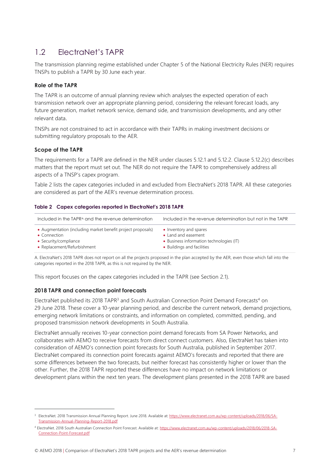## <span id="page-6-0"></span>1.2 ElectraNet's TAPR

The transmission planning regime established under Chapter 5 of the National Electricity Rules (NER) requires TNSPs to publish a TAPR by 30 June each year.

#### **Role of the TAPR**

The TAPR is an outcome of annual planning review which analyses the expected operation of each transmission network over an appropriate planning period, considering the relevant forecast loads, any future generation, market network service, demand side, and transmission developments, and any other relevant data.

TNSPs are not constrained to act in accordance with their TAPRs in making investment decisions or submitting regulatory proposals to the AER.

#### **Scope of the TAPR**

 $\overline{a}$ 

The requirements for a TAPR are defined in the NER under clauses 5.12.1 and 5.12.2. Clause 5.12.2(c) describes matters that the report must set out. The NER do not require the TAPR to comprehensively address all aspects of a TNSP's capex program.

[Table 2](#page-6-1) lists the capex categories included in and excluded from ElectraNet's 2018 TAPR. All these categories are considered as part of the AER's revenue determination process.

#### <span id="page-6-1"></span>**Table 2 Capex categories reported in ElectraNet's 2018 TAPR**

| Included in the TAPRA and the revenue determination         | Included in the revenue determination but not in the TAPR |
|-------------------------------------------------------------|-----------------------------------------------------------|
| • Augmentation (including market benefit project proposals) | • Inventory and spares                                    |
| • Connection                                                | • Land and easement                                       |
| • Security/compliance                                       | • Business information technologies (IT)                  |
| • Replacement/Refurbishment                                 | • Buildings and facilities                                |

A. ElectraNet's 2018 TAPR does not report on all the projects proposed in the plan accepted by the AER, even those which fall into the categories reported in the 2018 TAPR, as this is not required by the NER.

This report focuses on the capex categories included in the TAPR (see Section [2.1\)](#page-13-1).

#### **2018 TAPR and connection point forecasts**

ElectraNet published its 2018 TAPR<sup>3</sup> and South Australian Connection Point Demand Forecasts<sup>4</sup> on 29 June 2018. These cover a 10-year planning period, and describe the current network, demand projections, emerging network limitations or constraints, and information on completed, committed, pending, and proposed transmission network developments in South Australia.

ElectraNet annually receives 10-year connection point demand forecasts from SA Power Networks, and collaborates with AEMO to receive forecasts from direct connect customers. Also, ElectraNet has taken into consideration of AEMO's connection point forecasts for South Australia, published in September 2017. ElectraNet compared its connection point forecasts against AEMO's forecasts and reported that there are some differences between the two forecasts, but neither forecast has consistently higher or lower than the other. Further, the 2018 TAPR reported these differences have no impact on network limitations or development plans within the next ten years. The development plans presented in the 2018 TAPR are based

<sup>&</sup>lt;sup>3</sup> ElectraNet. 2018 Transmission Annual Planning Report. June 2018. Available at[: https://www.electranet.com.au/wp-content/uploads/2018/06/SA-](https://www.electranet.com.au/wp-content/uploads/2018/06/SA-Transmission-Annual-Planning-Report-2018.pdf)[Transmission-Annual-Planning-Report-2018.pdf](https://www.electranet.com.au/wp-content/uploads/2018/06/SA-Transmission-Annual-Planning-Report-2018.pdf)

<sup>4</sup> ElectraNet. 2018 South Australian Connection Point Forecast. Available at[: https://www.electranet.com.au/wp-content/uploads/2018/06/2018-SA-](https://www.electranet.com.au/wp-content/uploads/2018/06/2018-SA-Connection-Point-Forecast.pdf)[Connection-Point-Forecast.pdf](https://www.electranet.com.au/wp-content/uploads/2018/06/2018-SA-Connection-Point-Forecast.pdf)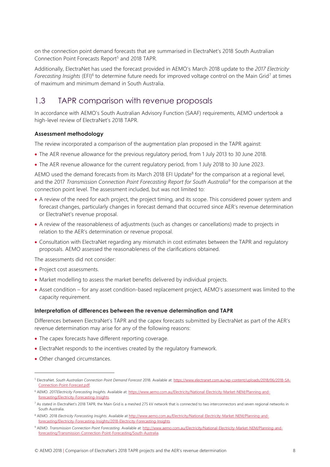on the connection point demand forecasts that are summarised in ElectraNet's 2018 South Australian Connection Point Forecasts Report<sup>5</sup> and 2018 TAPR.

Additionally, ElectraNet has used the forecast provided in AEMO's March 2018 update to the *2017 Electricity*  Forecasting Insights (EFI)<sup>6</sup> to determine future needs for improved voltage control on the Main Grid<sup>7</sup> at times of maximum and minimum demand in South Australia.

### <span id="page-7-0"></span>1.3 TAPR comparison with revenue proposals

In accordance with AEMO's South Australian Advisory Function (SAAF) requirements, AEMO undertook a high-level review of ElectraNet's 2018 TAPR.

#### **Assessment methodology**

The review incorporated a comparison of the augmentation plan proposed in the TAPR against:

- The AER revenue allowance for the previous regulatory period, from 1 July 2013 to 30 June 2018.
- The AER revenue allowance for the current regulatory period, from 1 July 2018 to 30 June 2023.

AEMO used the demand forecasts from its March 2018 EFI Update<sup>8</sup> for the comparison at a regional level, and the 2017 *Transmission Connection Point Forecasting Report for South Australia*<sup>9</sup> for the comparison at the connection point level. The assessment included, but was not limited to:

- A review of the need for each project, the project timing, and its scope. This considered power system and forecast changes, particularly changes in forecast demand that occurred since AER's revenue determination or ElectraNet's revenue proposal.
- A review of the reasonableness of adjustments (such as changes or cancellations) made to projects in relation to the AER's determination or revenue proposal.
- Consultation with ElectraNet regarding any mismatch in cost estimates between the TAPR and regulatory proposals. AEMO assessed the reasonableness of the clarifications obtained.

The assessments did not consider:

- Project cost assessments.
- Market modelling to assess the market benefits delivered by individual projects.
- Asset condition for any asset condition-based replacement project, AEMO's assessment was limited to the capacity requirement.

#### **Interpretation of differences between the revenue determination and TAPR**

Differences between ElectraNet's TAPR and the capex forecasts submitted by ElectraNet as part of the AER's revenue determination may arise for any of the following reasons:

- The capex forecasts have different reporting coverage.
- ElectraNet responds to the incentives created by the regulatory framework.
- Other changed circumstances.

 $\overline{a}$ 

<sup>5</sup> ElectraNet. *South Australian Connection Point Demand Forecast* 2018. Available at[: https://www.electranet.com.au/wp-content/uploads/2018/06/2018-SA-](https://www.electranet.com.au/wp-content/uploads/2018/06/2018-SA-Connection-Point-Forecast.pdf)[Connection-Point-Forecast.pdf.](https://www.electranet.com.au/wp-content/uploads/2018/06/2018-SA-Connection-Point-Forecast.pdf)

<sup>6</sup> AEMO. 2017*Electricity Forecasting Insights.* Available at: [https://www.aemo.com.au/Electricity/National-Electricity-Market-NEM/Planning-and](https://www.aemo.com.au/Electricity/National-Electricity-Market-NEM/Planning-and-forecasting/Electricity-Forecasting-Insights)[forecasting/Electricity-Forecasting-Insights.](https://www.aemo.com.au/Electricity/National-Electricity-Market-NEM/Planning-and-forecasting/Electricity-Forecasting-Insights)

 $^7$  As stated in ElectraNet's 2018 TAPR, the Main Grid is a meshed 275 kV network that is connected to two interconnectors and seven regional networks in South Australia.

<sup>&</sup>lt;sup>8</sup> AEMO. 2018 *Electricity Forecasting Insights*. Available at [http://www.aemo.com.au/Electricity/National-Electricity-Market-NEM/Planning-and](http://www.aemo.com.au/Electricity/National-Electricity-Market-NEM/Planning-and-forecasting/Electricity-Forecasting-Insights/2018-Electricity-Forecasting-Insights)[forecasting/Electricity-Forecasting-Insights/2018-Electricity-Forecasting-Insights](http://www.aemo.com.au/Electricity/National-Electricity-Market-NEM/Planning-and-forecasting/Electricity-Forecasting-Insights/2018-Electricity-Forecasting-Insights)

<sup>9</sup> AEMO. Transmission Connection Point Forecasting. Available at[: http://www.aemo.com.au/Electricity/National-Electricity-Market-NEM/Planning-and](http://www.aemo.com.au/Electricity/National-Electricity-Market-NEM/Planning-and-forecasting/Transmission-Connection-Point-Forecasting/South-Australia)[forecasting/Transmission-Connection-Point-Forecasting/South-Australia.](http://www.aemo.com.au/Electricity/National-Electricity-Market-NEM/Planning-and-forecasting/Transmission-Connection-Point-Forecasting/South-Australia)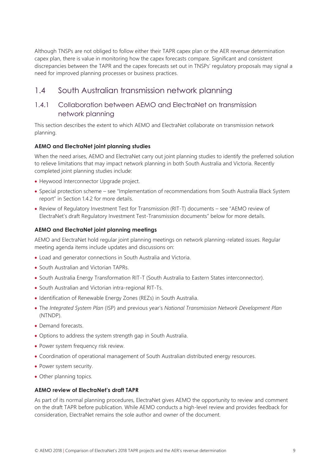Although TNSPs are not obliged to follow either their TAPR capex plan or the AER revenue determination capex plan, there is value in monitoring how the capex forecasts compare. Significant and consistent discrepancies between the TAPR and the capex forecasts set out in TNSPs' regulatory proposals may signal a need for improved planning processes or business practices.

### <span id="page-8-0"></span>1.4 South Australian transmission network planning

### 1.4.1 Collaboration between AEMO and ElectraNet on transmission network planning

This section describes the extent to which AEMO and ElectraNet collaborate on transmission network planning.

#### **AEMO and ElectraNet joint planning studies**

When the need arises, AEMO and ElectraNet carry out joint planning studies to identify the preferred solution to relieve limitations that may impact network planning in both South Australia and Victoria. Recently completed joint planning studies include:

- Heywood Interconnector Upgrade project.
- Special protection scheme see "Implementation of recommendations from South Australia Black System report" in Section 1.4.2 for more details.
- Review of Regulatory Investment Test for Transmission (RIT-T) documents see "AEMO review of ElectraNet's draft Regulatory Investment Test-Transmission documents" below for more details.

#### **AEMO and ElectraNet joint planning meetings**

AEMO and ElectraNet hold regular joint planning meetings on network planning-related issues. Regular meeting agenda items include updates and discussions on:

- Load and generator connections in South Australia and Victoria.
- South Australian and Victorian TAPRs.
- South Australia Energy Transformation RIT-T (South Australia to Eastern States interconnector).
- South Australian and Victorian intra-regional RIT-Ts.
- Identification of Renewable Energy Zones (REZs) in South Australia.
- The *Integrated System Plan* (ISP) and previous year's *National Transmission Network Development Plan* (NTNDP).
- Demand forecasts
- Options to address the system strength gap in South Australia.
- Power system frequency risk review.
- Coordination of operational management of South Australian distributed energy resources.
- Power system security.
- Other planning topics.

#### **AEMO review of ElectraNet's draft TAPR**

As part of its normal planning procedures, ElectraNet gives AEMO the opportunity to review and comment on the draft TAPR before publication. While AEMO conducts a high-level review and provides feedback for consideration, ElectraNet remains the sole author and owner of the document.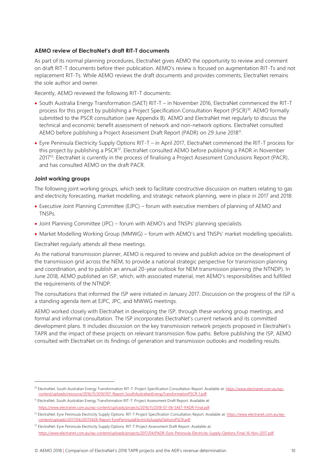#### **AEMO review of ElectraNet's draft RIT-T documents**

As part of its normal planning procedures, ElectraNet gives AEMO the opportunity to review and comment on draft RIT-T documents before their publication. AEMO's review is focused on augmentation RIT-Ts and not replacement RIT-Ts. While AEMO reviews the draft documents and provides comments, ElectraNet remains the sole author and owner.

Recently, AEMO reviewed the following RIT-T documents:

- South Australia Energy Transformation (SAET) RIT-T in November 2016, ElectraNet commenced the RIT-T process for this project by publishing a Project Specification Consultation Report (PSCR)<sup>10</sup>. AEMO formally submitted to the PSCR consultation (se[e Appendix B\)](#page-36-0). AEMO and ElectraNet met regularly to discuss the technical and economic benefit assessment of network and non-network options. ElectraNet consulted AEMO before publishing a Project Assessment Draft Report (PADR) on 29 June 2018<sup>11</sup>.
- Eyre Peninsula Electricity Supply Options RIT-T in April 2017, ElectraNet commenced the RIT-T process for this project by publishing a PSCR<sup>12</sup>. ElectraNet consulted AEMO before publishing a PADR in November 2017<sup>13</sup>. ElectraNet is currently in the process of finalising a Project Assessment Conclusions Report (PACR), and has consulted AEMO on the draft PACR.

#### **Joint working groups**

l.

The following joint working groups, which seek to facilitate constructive discussion on matters relating to gas and electricity forecasting, market modelling, and strategic network planning, were in place in 2017 and 2018:

- Executive Joint Planning Committee (EJPC) forum with executive members of planning of AEMO and TNSPs.
- Joint Planning Committee (JPC) forum with AEMO's and TNSPs' planning specialists.
- Market Modelling Working Group (MMWG) forum with AEMO's and TNSPs' market modelling specialists.

ElectraNet regularly attends all these meetings.

As the national transmission planner, AEMO is required to review and publish advice on the development of the transmission grid across the NEM, to provide a national strategic perspective for transmission planning and coordination, and to publish an annual 20-year outlook for NEM transmission planning (the NTNDP). In June 2018, AEMO published an ISP, which, with associated material, met AEMO's responsibilities and fulfilled the requirements of the NTNDP.

The consultations that informed the ISP were initiated in January 2017. Discussion on the progress of the ISP is a standing agenda item at EJPC, JPC, and MWWG meetings.

AEMO worked closely with ElectraNet in developing the ISP, through these working group meetings, and formal and informal consultation. The ISP incorporates ElectraNet's current network and its committed development plans. It includes discussion on the key transmission network projects proposed in ElectraNet's TAPR and the impact of these projects on relevant transmission flow paths. Before publishing the ISP, AEMO consulted with ElectraNet on its findings of generation and transmission outlooks and modelling results.

<sup>&</sup>lt;sup>10</sup> ElectraNet. South Australian Energy Transformation RIT-T: Project Specification Consultation Report. Available at[: https://www.electranet.com.au/wp](https://www.electranet.com.au/wp-content/uploads/resource/2016/11/20161107-Report-SouthAustralianEnergyTransformationPSCR-1.pdf)[content/uploads/resource/2016/11/20161107-Report-SouthAustralianEnergyTransformationPSCR-1.pdf.](https://www.electranet.com.au/wp-content/uploads/resource/2016/11/20161107-Report-SouthAustralianEnergyTransformationPSCR-1.pdf) 

<sup>11</sup> ElectraNet. South Australian Energy Transformation RIT-T: Project Assessment Draft Report. Available at: [https://www.electranet.com.au/wp-content/uploads/projects/2016/11/2018-07-06-SAET-PADR-Final.pdf.](https://www.electranet.com.au/wp-content/uploads/projects/2016/11/2018-07-06-SAET-PADR-Final.pdf)

<sup>&</sup>lt;sup>12</sup> ElectraNet. Eyre Peninsula Electricity Supply Options. RIT-T Project Specification Consultation Report. Available at[: https://www.electranet.com.au/wp](https://www.electranet.com.au/wp-content/uploads/2017/04/20170428-Report-EyrePeninsulaElectricitySupplyOptionsPSCR.pdf)[content/uploads/2017/04/20170428-Report-EyrePeninsulaElectricitySupplyOptionsPSCR.pdf.](https://www.electranet.com.au/wp-content/uploads/2017/04/20170428-Report-EyrePeninsulaElectricitySupplyOptionsPSCR.pdf) 

<sup>13</sup> ElectraNet. Eyre Peninsula Electricity Supply Options. RIT-T Project Assessment Draft Report. Available at: [https://www.electranet.com.au/wp-content/uploads/projects/2017/04/PADR-Eyre-Peninsula-Electricity-Supply-Options-Final-16-Nov-2017.pdf.](https://www.electranet.com.au/wp-content/uploads/projects/2017/04/PADR-Eyre-Peninsula-Electricity-Supply-Options-Final-16-Nov-2017.pdf)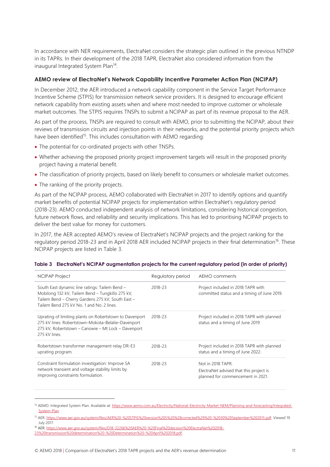In accordance with NER requirements, ElectraNet considers the strategic plan outlined in the previous NTNDP in its TAPRs. In their development of the 2018 TAPR, ElectraNet also considered information from the inaugural Integrated System Plan<sup>14</sup>.

#### **AEMO review of ElectraNet's Network Capability Incentive Parameter Action Plan (NCIPAP)**

In December 2012, the AER introduced a network capability component in the Service Target Performance Incentive Scheme (STPIS) for transmission network service providers. It is designed to encourage efficient network capability from existing assets when and where most needed to improve customer or wholesale market outcomes. The STPIS requires TNSPs to submit a NCIPAP as part of its revenue proposal to the AER.

As part of the process, TNSPs are required to consult with AEMO, prior to submitting the NCIPAP, about their reviews of transmission circuits and injection points in their networks, and the potential priority projects which have been identified<sup>15</sup>. This includes consultation with AEMO regarding:

- The potential for co-ordinated projects with other TNSPs.
- Whether achieving the proposed priority project improvement targets will result in the proposed priority project having a material benefit.
- The classification of priority projects, based on likely benefit to consumers or wholesale market outcomes.
- The ranking of the priority projects.

As part of the NCIPAP process, AEMO collaborated with ElectraNet in 2017 to identify options and quantify market benefits of potential NCIPAP projects for implementation within ElectraNet's regulatory period (2018-23). AEMO conducted independent analysis of network limitations, considering historical congestion, future network flows, and reliability and security implications. This has led to prioritising NCIPAP projects to deliver the best value for money for customers.

In 2017, the AER accepted AEMO's review of ElectraNet's NCIPAP projects and the project ranking for the regulatory period 2018-23 and in April 2018 AER included NCIPAP projects in their final determination<sup>16</sup>. These NCIPAP projects are listed in Table 3.

| <b>NCIPAP Project</b>                                                                                                                                                                                | Regulatory period | AEMO comments                                                                                     |
|------------------------------------------------------------------------------------------------------------------------------------------------------------------------------------------------------|-------------------|---------------------------------------------------------------------------------------------------|
| South East dynamic line ratings: Tailem Bend -<br>Mobilong 132 kV, Tailem Bend - Tungkillo 275 kV,<br>Tailem Bend - Cherry Gardens 275 kV, South East -<br>Tailem Bend 275 kV No. 1 and No. 2 lines. | 2018-23           | Project included in 2018 TAPR with<br>committed status and a timing of June 2019.                 |
| Uprating of limiting plants on Robertstown to Davenport<br>275 kV lines: Robertstown-Mokota-Belalie-Davenport<br>275 kV, Robertstown - Canowie - Mt Lock - Davenport<br>275 kV lines.                | 2018-23           | Project included in 2018 TAPR with planned<br>status and a timing of June 2019                    |
| Robertstown transformer management relay DR-E3<br>uprating program.                                                                                                                                  | 2018-23           | Project included in 2018 TAPR with planned<br>status and a timing of June 2022.                   |
| Constraint formulation investigation: Improve SA<br>network transient and voltage stability limits by<br>improving constraints formulation.                                                          | 2018-23           | Not in 2018 TAPR.<br>ElectraNet advised that this project is<br>planned for commencement in 2021. |

#### <span id="page-10-0"></span>**Table 3 ElectraNet's NCIPAP augmentation projects for the current regulatory period (in order of priority)**

<sup>16</sup> AER. [https://www.aer.gov.au/system/files/D18-32266%20AER%20-%20Final%20decision%20ElectraNet%202018-](https://www.aer.gov.au/system/files/D18-32266%20AER%20-%20Final%20decision%20ElectraNet%202018-23%20transmission%20determination%20-%20Determination%20-%20April%202018.pdf)

 $\overline{a}$ 

<sup>14</sup> AEMO. Integrated System Plan. Available at[: https://www.aemo.com.au/Electricity/National-Electricity-Market-NEM/Planning-and-forecasting/Integrated-](https://www.aemo.com.au/Electricity/National-Electricity-Market-NEM/Planning-and-forecasting/Integrated-System-Plan)[System-Plan.](https://www.aemo.com.au/Electricity/National-Electricity-Market-NEM/Planning-and-forecasting/Integrated-System-Plan) 

<sup>15</sup> AER. [https://www.aer.gov.au/system/files/AER%20-%20STPIS%20version%205%20%28corrected%29%20-%2030%20September%202015.pdf.](https://www.aer.gov.au/system/files/AER%20-%20STPIS%20version%205%20%28corrected%29%20-%2030%20September%202015.pdf) Viewed 19 July 2017.

[<sup>23%20</sup>transmission%20determination%20-%20Determination%20-%20April%202018.pdf.](https://www.aer.gov.au/system/files/D18-32266%20AER%20-%20Final%20decision%20ElectraNet%202018-23%20transmission%20determination%20-%20Determination%20-%20April%202018.pdf)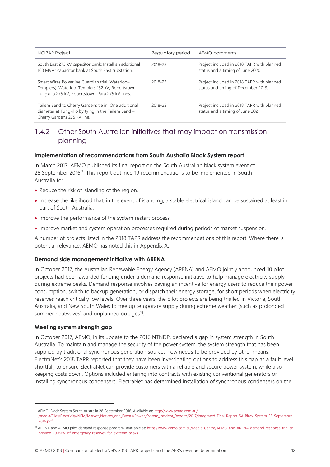| <b>NCIPAP Project</b>                                                                                                                                    | Regulatory period | AEMO comments                                                                     |
|----------------------------------------------------------------------------------------------------------------------------------------------------------|-------------------|-----------------------------------------------------------------------------------|
| South East 275 kV capacitor bank: Install an additional<br>100 MVAr capacitor bank at South East substation.                                             | 2018-23           | Project included in 2018 TAPR with planned<br>status and a timing of June 2020.   |
| Smart Wires Powerline Guardian trial (Waterloo-<br>Templers): Waterloo-Templers 132 kV, Robertstown-<br>Tungkillo 275 kV, Robertstown-Para 275 kV lines. | 2018-23           | Project included in 2018 TAPR with planned<br>status and timing of December 2019. |
| Tailem Bend to Cherry Gardens tie in: One additional<br>diameter at Tungkillo by tying in the Tailem Bend -<br>Cherry Gardens 275 kV line.               | 2018-23           | Project included in 2018 TAPR with planned<br>status and a timing of June 2021.   |

### 1.4.2 Other South Australian initiatives that may impact on transmission planning

#### **Implementation of recommendations from South Australia Black System report**

In March 2017, AEMO published its final report on the South Australian black system event of 28 September 2016<sup>17</sup>. This report outlined 19 recommendations to be implemented in South Australia to:

- Reduce the risk of islanding of the region.
- Increase the likelihood that, in the event of islanding, a stable electrical island can be sustained at least in part of South Australia.
- Improve the performance of the system restart process.
- Improve market and system operation processes required during periods of market suspension.

A number of projects listed in the 2018 TAPR address the recommendations of this report. Where there is potential relevance, AEMO has noted this in [Appendix A.](#page-17-0)

#### **Demand side management initiative with ARENA**

In October 2017, the Australian Renewable Energy Agency (ARENA) and AEMO jointly announced 10 pilot projects had been awarded funding under a demand response initiative to help manage electricity supply during extreme peaks. Demand response involves paying an incentive for energy users to reduce their power consumption, switch to backup generation, or dispatch their energy storage, for short periods when electricity reserves reach critically low levels. Over three years, the pilot projects are being trialled in Victoria, South Australia, and New South Wales to free up temporary supply during extreme weather (such as prolonged summer heatwaves) and unplanned outages<sup>18</sup>.

#### **Meeting system strength gap**

 $\overline{a}$ 

In October 2017, AEMO, in its update to the 2016 NTNDP, declared a gap in system strength in South Australia. To maintain and manage the security of the power system, the system strength that has been supplied by traditional synchronous generation sources now needs to be provided by other means. ElectraNet's 2018 TAPR reported that they have been investigating options to address this gap as a fault level shortfall, to ensure ElectraNet can provide customers with a reliable and secure power system, while also keeping costs down. Options included entering into contracts with existing conventional generators or installing synchronous condensers. ElectraNet has determined installation of synchronous condensers on the

<sup>17</sup> AEMO. Black System South Australia 28 September 2016. Available at[: http://www.aemo.com.au/-](http://www.aemo.com.au/-/media/Files/Electricity/NEM/Market_Notices_and_Events/Power_System_Incident_Reports/2017/Integrated-Final-Report-SA-Black-System-28-September-2016.pdf) [/media/Files/Electricity/NEM/Market\\_Notices\\_and\\_Events/Power\\_System\\_Incident\\_Reports/2017/Integrated-Final-Report-SA-Black-System-28-September-](http://www.aemo.com.au/-/media/Files/Electricity/NEM/Market_Notices_and_Events/Power_System_Incident_Reports/2017/Integrated-Final-Report-SA-Black-System-28-September-2016.pdf)[2016.pdf.](http://www.aemo.com.au/-/media/Files/Electricity/NEM/Market_Notices_and_Events/Power_System_Incident_Reports/2017/Integrated-Final-Report-SA-Black-System-28-September-2016.pdf) 

<sup>18</sup> ARENA and AEMO pilot demand response program. Available at[: https://www.aemo.com.au/Media-Centre/AEMO-and-ARENA-demand-response-trial-to](https://www.aemo.com.au/Media-Centre/AEMO-and-ARENA-demand-response-trial-to-provide-200MW-of-emergency-reserves-for-extreme-peaks)[provide-200MW-of-emergency-reserves-for-extreme-peaks](https://www.aemo.com.au/Media-Centre/AEMO-and-ARENA-demand-response-trial-to-provide-200MW-of-emergency-reserves-for-extreme-peaks)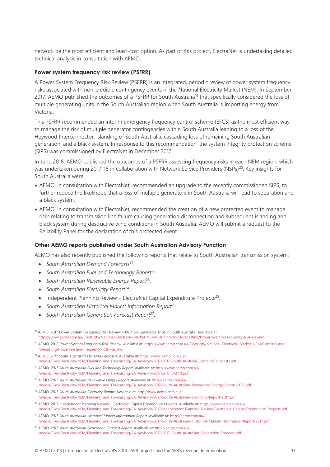network be the most efficient and least-cost option. As part of this project, ElectraNet is undertaking detailed technical analysis in consultation with AEMO.

#### **Power system frequency risk review (PSFRR)**

A Power System Frequency Risk Review (PSFRR) is an integrated, periodic review of power system frequency risks associated with non-credible contingency events in the National Electricity Market (NEM). In September 2017, AEMO published the outcomes of a PSFRR for South Australia<sup>19</sup> that specifically considered the loss of multiple generating units in the South Australian region when South Australia is importing energy from Victoria.

This PSFRR recommended an interim emergency frequency control scheme (EFCS) as the most efficient way to manage the risk of multiple generator contingencies within South Australia leading to a loss of the Heywood Interconnector, islanding of South Australia, cascading loss of remaining South Australian generation, and a black system. In response to this recommendation, the system integrity protection scheme (SIPS) was commissioned by ElectraNet in December 2017.

In June 2018, AEMO published the outcomes of a PSFRR assessing frequency risks in each NEM region, which was undertaken during 2017-18 in collaboration with Network Service Providers (NSPs)<sup>20</sup>. Key insights for South Australia were:

- AEMO, in consultation with ElectraNet, recommended an upgrade to the recently commissioned SIPS, to further reduce the likelihood that a loss of multiple generators in South Australia will lead to separation and a black system.
- AEMO, in consultation with ElectraNet, recommended the creation of a new protected event to manage risks relating to transmission line failure causing generation disconnection and subsequent islanding and black system during destructive wind conditions in South Australia. AEMO will submit a request to the Reliability Panel for the declaration of this protected event.

#### **Other AEMO reports published under South Australian Advisory Function**

AEMO has also recently published the following reports that relate to South Australian transmission system:

- *South Australian Demand Forecasts*<sup>21</sup> *.*
- South Australian Fuel and Technology Report<sup>22</sup>.
- *South Australian Renewable Energy Report*<sup>23</sup> .
- South Australian Electricity Report<sup>24</sup>.

 $\overline{a}$ 

- Independent Planning Review ElectraNet Capital Expenditure Projects<sup>25</sup>.
- South Australian Historical Market Information Report<sup>26</sup>.
- *South Australian Generation Forecast Report*<sup>27</sup> .

<sup>&</sup>lt;sup>19</sup> AEMO. 2017 Power System Frequency Risk Review – Multiple Generator Trips in South Australia. Available at: [https://www.aemo.com.au/Electricity/National-Electricity-Market-NEM/Planning-and-forecasting/Power-System-Frequency-Risk-Review.](https://www.aemo.com.au/Electricity/National-Electricity-Market-NEM/Planning-and-forecasting/Power-System-Frequency-Risk-Review)

<sup>&</sup>lt;sup>20</sup> AEMO. 2018 Power System Frequency Risk Review. Available at[: https://www.aemo.com.au/Electricity/National-Electricity-Market-NEM/Planning-and](https://www.aemo.com.au/Electricity/National-Electricity-Market-NEM/Planning-and-forecasting/Power-System-Frequency-Risk-Review)[forecasting/Power-System-Frequency-Risk-Review.](https://www.aemo.com.au/Electricity/National-Electricity-Market-NEM/Planning-and-forecasting/Power-System-Frequency-Risk-Review)

<sup>21</sup> AEMO. *2017 South Australian Demand Forecasts*. Available at[: https://www.aemo.com.au/-](https://www.aemo.com.au/-/media/Files/Electricity/NEM/Planning_and_Forecasting/SA_Advisory/2017/2017-South-Australia-Demand-Forecasts.pdf) [/media/Files/Electricity/NEM/Planning\\_and\\_Forecasting/SA\\_Advisory/2017/2017-South-Australia-Demand-Forecasts.pdf.](https://www.aemo.com.au/-/media/Files/Electricity/NEM/Planning_and_Forecasting/SA_Advisory/2017/2017-South-Australia-Demand-Forecasts.pdf)

<sup>22</sup> AEMO. *2017 South Australian Fuel and Technology Report*. Available at[: http://www.aemo.com.au/-](http://www.aemo.com.au/-/media/Files/Electricity/NEM/Planning_and_Forecasting/SA_Advisory/2017/2017_SAFTR.pdf) /media/Files/Electricity/NEM/Planning\_and\_Forecasting/SA

<sup>23</sup> AEMO. *2017 South Australian Renewable Energy Report*. Available at[: http://aemo.com.au/-](http://aemo.com.au/-/media/Files/Electricity/NEM/Planning_and_Forecasting/SA_Advisory/2017/South-Australian-Renewable-Energy-Report-2017.pdf) [/media/Files/Electricity/NEM/Planning\\_and\\_Forecasting/SA\\_Advisory/2017/South-Australian-Renewable-Energy-Report-2017.pdf.](http://aemo.com.au/-/media/Files/Electricity/NEM/Planning_and_Forecasting/SA_Advisory/2017/South-Australian-Renewable-Energy-Report-2017.pdf)

<sup>24</sup> AEMO. *2017 South Australian Electricity Report*. Available at: http://www.aemo.com.au/- /media/Files/Electricity/NEM/Planning\_and\_Forecasting/SA\_Advisory/2017/South-Australian-Electricity-Report-2017.pdf.

<sup>&</sup>lt;sup>25</sup> AEMO. 2017 Independent Planning Review - ElectraNet Capital Expenditure Projects. Available at[: https://www.aemo.com.au/-](https://www.aemo.com.au/-/media/Files/Electricity/NEM/Planning_and_Forecasting/SA_Advisory/2017/Independent_Planning_Review-ElectraNet_Capital_Expenditure_Projects.pdf) [/media/Files/Electricity/NEM/Planning\\_and\\_Forecasting/SA\\_Advisory/2017/Independent\\_Planning\\_Review-ElectraNet\\_Capital\\_Expenditure\\_Projects.pdf.](https://www.aemo.com.au/-/media/Files/Electricity/NEM/Planning_and_Forecasting/SA_Advisory/2017/Independent_Planning_Review-ElectraNet_Capital_Expenditure_Projects.pdf)

<sup>26</sup> AEMO. *2017 South Australian Historical Market Information Report*. Available at: [http://aemo.com.au/-](http://aemo.com.au/-/media/Files/Electricity/NEM/Planning_and_Forecasting/SA_Advisory/2017/South-Australian-Historical-Market-Information-Report-2017.pdf) [/media/Files/Electricity/NEM/Planning\\_and\\_Forecasting/SA\\_Advisory/2017/South-Australian-Historical-Market-Information-Report-2017.pdf.](http://aemo.com.au/-/media/Files/Electricity/NEM/Planning_and_Forecasting/SA_Advisory/2017/South-Australian-Historical-Market-Information-Report-2017.pdf) 

<sup>27</sup> AEMO. *2017 South Australian Generation Forecast Report*. Available at[: http://aemo.com.au/-](http://aemo.com.au/-/media/Files/Electricity/NEM/Planning_and_Forecasting/SA_Advisory/2017/2017-South-Australian-Generation-Forecast.pdf) [/media/Files/Electricity/NEM/Planning\\_and\\_Forecasting/SA\\_Advisory/2017/2017-South-Australian-Generation-Forecast.pdf.](http://aemo.com.au/-/media/Files/Electricity/NEM/Planning_and_Forecasting/SA_Advisory/2017/2017-South-Australian-Generation-Forecast.pdf)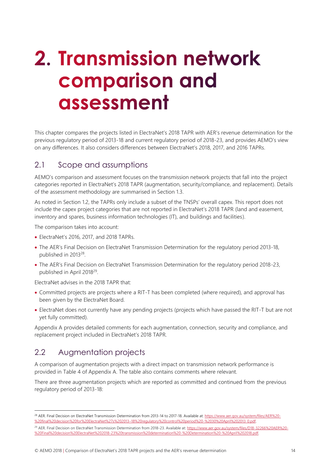## <span id="page-13-0"></span>2. Transmission network **comparison and** assessment

This chapter compares the projects listed in ElectraNet's 2018 TAPR with AER's revenue determination for the previous regulatory period of 2013-18 and current regulatory period of 2018-23, and provides AEMO's view on any differences. It also considers differences between ElectraNet's 2018, 2017, and 2016 TAPRs.

### <span id="page-13-1"></span>2.1 Scope and assumptions

AEMO's comparison and assessment focuses on the transmission network projects that fall into the project categories reported in ElectraNet's 2018 TAPR (augmentation, security/compliance, and replacement). Details of the assessment methodology are summarised in Section [1.3.](#page-7-0)

As noted in Section [1.2,](#page-6-0) the TAPRs only include a subset of the TNSPs' overall capex. This report does not include the capex project categories that are not reported in ElectraNet's 2018 TAPR (land and easement, inventory and spares, business information technologies (IT), and buildings and facilities).

The comparison takes into account:

- ElectraNet's 2016, 2017, and 2018 TAPRs.
- The AER's Final Decision on ElectraNet Transmission Determination for the regulatory period 2013-18, published in 2013<sup>28</sup>.
- The AER's Final Decision on ElectraNet Transmission Determination for the regulatory period 2018-23, published in April 2018<sup>29</sup>.

ElectraNet advises in the 2018 TAPR that:

- Committed projects are projects where a RIT-T has been completed (where required), and approval has been given by the ElectraNet Board.
- ElectraNet does not currently have any pending projects (projects which have passed the RIT-T but are not yet fully committed).

[Appendix A](#page-17-0) provides detailed comments for each augmentation, connection, security and compliance, and replacement project included in ElectraNet's 2018 TAPR.

### <span id="page-13-2"></span>2.2 Augmentation projects

 $\overline{a}$ 

A comparison of augmentation projects with a direct impact on transmission network performance is provided in [Table 4](#page-17-1) of Appendix A. The table also contains comments where relevant.

There are three augmentation projects which are reported as committed and continued from the previous regulatory period of 2013-18:

<sup>&</sup>lt;sup>28</sup> AER. Final Decision on ElectraNet Transmission Determination from 2013-14 to 2017-18. Available at[: https://www.aer.gov.au/system/files/AER%20-](https://www.aer.gov.au/system/files/AER%20-%20final%20decision%20for%20ElectraNet%27s%202013-18%20regulatory%20control%20period%20-%2030%20April%202013_0.pdf) %20final%20decision%20for%20ElectraNet%27s%202013–[18%20regulatory%20control%20period%20-%2030%20April%202013\\_0.pdf.](https://www.aer.gov.au/system/files/AER%20-%20final%20decision%20for%20ElectraNet%27s%202013-18%20regulatory%20control%20period%20-%2030%20April%202013_0.pdf) 

<sup>&</sup>lt;sup>29</sup> AER. Final Decision on ElectraNet Transmission Determination from 2018-23. Available at[: https://www.aer.gov.au/system/files/D18-32266%20AER%20-](https://www.aer.gov.au/system/files/D18-32266%20AER%20-%20Final%20decision%20ElectraNet%202018-23%20transmission%20determination%20-%20Determination%20-%20April%202018.pdf) [%20Final%20decision%20ElectraNet%202018-23%20transmission%20determination%20-%20Determination%20-%20April%202018.pdf.](https://www.aer.gov.au/system/files/D18-32266%20AER%20-%20Final%20decision%20ElectraNet%202018-23%20transmission%20determination%20-%20Determination%20-%20April%202018.pdf)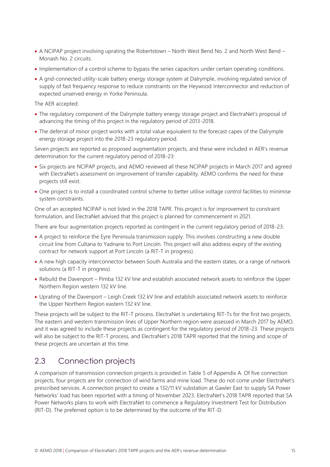- A NCIPAP project involving uprating the Robertstown North West Bend No. 2 and North West Bend Monash No. 2 circuits.
- Implementation of a control scheme to bypass the series capacitors under certain operating conditions.
- A grid-connected utility-scale battery energy storage system at Dalrymple, involving regulated service of supply of fast frequency response to reduce constraints on the Heywood Interconnector and reduction of expected unserved energy in Yorke Peninsula.

The AER accepted:

- The regulatory component of the Dalrymple battery energy storage project and ElectraNet's proposal of advancing the timing of this project in the regulatory period of 2013-2018.
- The deferral of minor project works with a total value equivalent to the forecast capex of the Dalrymple energy storage project into the 2018-23 regulatory period.

Seven projects are reported as proposed augmentation projects, and these were included in AER's revenue determination for the current regulatory period of 2018-23:

- Six projects are NCIPAP projects, and AEMO reviewed all these NCIPAP projects in March 2017 and agreed with ElectraNet's assessment on improvement of transfer capability. AEMO confirms the need for these projects still exist.
- One project is to install a coordinated control scheme to better utilise voltage control facilities to minimise system constraints.

One of an accepted NCIPAP is not listed in the 2018 TAPR. This project is for improvement to constraint formulation, and ElectraNet advised that this project is planned for commencement in 2021.

There are four augmentation projects reported as contingent in the current regulatory period of 2018-23:

- A project to reinforce the Eyre Peninsula transmission supply. This involves constructing a new double circuit line from Cultana to Yadnarie to Port Lincoln. This project will also address expiry of the existing contract for network support at Port Lincoln (a RIT-T in progress).
- A new high capacity interconnector between South Australia and the eastern states, or a range of network solutions (a RIT-T in progress)
- Rebuild the Davenport Pimba 132 kV line and establish associated network assets to reinforce the Upper Northern Region western 132 kV line.
- Uprating of the Davenport Leigh Creek 132 kV line and establish associated network assets to reinforce the Upper Northern Region eastern 132 kV line.

These projects will be subject to the RIT-T process. ElectraNet is undertaking RIT-Ts for the first two projects. The eastern and western transmission lines of Upper Northern region were assessed in March 2017 by AEMO, and it was agreed to include these projects as contingent for the regulatory period of 2018-23. These projects will also be subject to the RIT-T process, and ElectraNet's 2018 TAPR reported that the timing and scope of these projects are uncertain at this time.

## <span id="page-14-0"></span>2.3 Connection projects

A comparison of transmission connection projects is provided in [Table 5](#page-22-0) of Appendix A. Of five connection projects, four projects are for connection of wind farms and mine load. These do not come under ElectraNet's prescribed services. A connection project to create a 132/11 kV substation at Gawler East to supply SA Power Networks' load has been reported with a timing of November 2023. ElectraNet's 2018 TAPR reported that SA Power Networks plans to work with ElectraNet to commence a Regulatory Investment Test for Distribution (RIT-D). The preferred option is to be determined by the outcome of the RIT-D.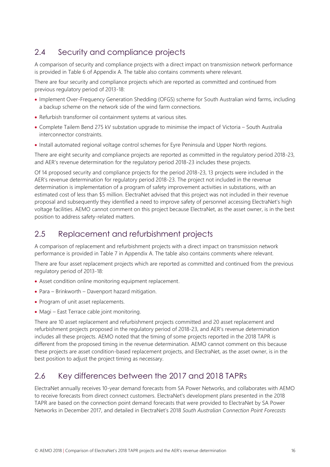## <span id="page-15-0"></span>2.4 Security and compliance projects

A comparison of security and compliance projects with a direct impact on transmission network performance is provided in [Table 6](#page-23-0) of Appendix A. The table also contains comments where relevant.

There are four security and compliance projects which are reported as committed and continued from previous regulatory period of 2013-18:

- Implement Over-Frequency Generation Shedding (OFGS) scheme for South Australian wind farms, including a backup scheme on the network side of the wind farm connections.
- Refurbish transformer oil containment systems at various sites.
- Complete Tailem Bend 275 kV substation upgrade to minimise the impact of Victoria South Australia interconnector constraints.
- Install automated regional voltage control schemes for Eyre Peninsula and Upper North regions.

There are eight security and compliance projects are reported as committed in the regulatory period 2018-23, and AER's revenue determination for the regulatory period 2018-23 includes these projects.

Of 14 proposed security and compliance projects for the period 2018-23, 13 projects were included in the AER's revenue determination for regulatory period 2018-23. The project not included in the revenue determination is implementation of a program of safety improvement activities in substations, with an estimated cost of less than \$5 million. ElectraNet advised that this project was not included in their revenue proposal and subsequently they identified a need to improve safety of personnel accessing ElectraNet's high voltage facilities. AEMO cannot comment on this project because ElectraNet, as the asset owner, is in the best position to address safety-related matters.

### <span id="page-15-1"></span>2.5 Replacement and refurbishment projects

A comparison of replacement and refurbishment projects with a direct impact on transmission network performance is provided in [Table 7](#page-29-0) in Appendix A. The table also contains comments where relevant.

There are four asset replacement projects which are reported as committed and continued from the previous regulatory period of 2013-18:

- Asset condition online monitoring equipment replacement.
- Para Brinkworth Davenport hazard mitigation.
- Program of unit asset replacements.
- Magi East Terrace cable joint monitoring.

There are 10 asset replacement and refurbishment projects committed and 20 asset replacement and refurbishment projects proposed in the regulatory period of 2018-23, and AER's revenue determination includes all these projects. AEMO noted that the timing of some projects reported in the 2018 TAPR is different from the proposed timing in the revenue determination. AEMO cannot comment on this because these projects are asset condition-based replacement projects, and ElectraNet, as the asset owner, is in the best position to adjust the project timing as necessary.

## <span id="page-15-2"></span>2.6 Key differences between the 2017 and 2018 TAPRs

ElectraNet annually receives 10-year demand forecasts from SA Power Networks, and collaborates with AEMO to receive forecasts from direct connect customers. ElectraNet's development plans presented in the 2018 TAPR are based on the connection point demand forecasts that were provided to ElectraNet by SA Power Networks in December 2017, and detailed in ElectraNet's 2018 *South Australian Connection Point Forecasts*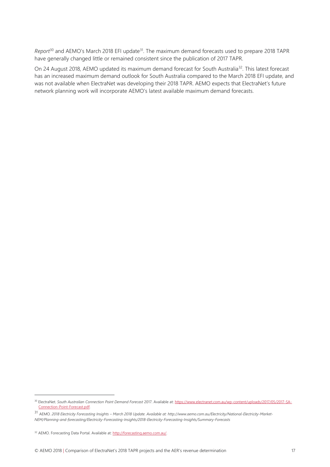*Report*<sup>30</sup> and AEMO's March 2018 EFI update<sup>31</sup>. The maximum demand forecasts used to prepare 2018 TAPR have generally changed little or remained consistent since the publication of 2017 TAPR.

On 24 August 2018, AEMO updated its maximum demand forecast for South Australia<sup>32</sup>. This latest forecast has an increased maximum demand outlook for South Australia compared to the March 2018 EFI update, and was not available when ElectraNet was developing their 2018 TAPR. AEMO expects that ElectraNet's future network planning work will incorporate AEMO's latest available maximum demand forecasts.

 $\overline{a}$ 

<sup>30</sup> ElectraNet. *South Australian Connection Point Demand Forecast* 2017. Available at[: https://www.electranet.com.au/wp-content/uploads/2017/05/2017-SA-](https://www.electranet.com.au/wp-content/uploads/2017/05/2017-SA-Connection-Point-Forecast.pdf)[Connection-Point-Forecast.pdf.](https://www.electranet.com.au/wp-content/uploads/2017/05/2017-SA-Connection-Point-Forecast.pdf)

<sup>31</sup> AEMO*. 2018 Electricity Forecasting Insights – March 2018 Update. Available at: http://www.aemo.com.au/Electricity/National-Electricity-Market-NEM/Planning-and-forecasting/Electricity-Forecasting-Insights/2018-Electricity-Forecasting-Insights/Summary-Forecasts*

<sup>&</sup>lt;sup>32</sup> AEMO. Forecasting Data Portal. Available at[: http://forecasting.aemo.com.au/.](http://forecasting.aemo.com.au/)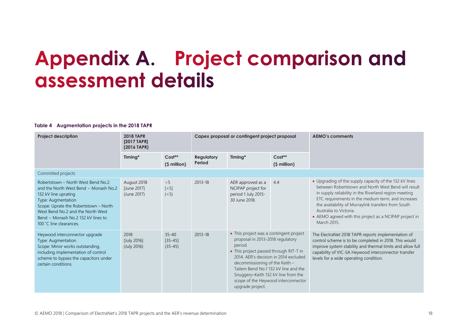## **Appendix A. Project comparison and** assessment details

#### **Table 4 Augmentation projects in the 2018 TAPR**

<span id="page-17-1"></span><span id="page-17-0"></span>

| <b>Project description</b>                                                                                                                                                                                                                                               | <b>2018 TAPR</b><br>[2017 TAPR]<br>(2016 TAPR) |                                       | Capex proposal or contingent project proposal |                                                                                                                                                                                                                                                                                                                                                       |                           | <b>AEMO's comments</b>                                                                                                                                                                                                                                                                                                                                                                 |  |  |
|--------------------------------------------------------------------------------------------------------------------------------------------------------------------------------------------------------------------------------------------------------------------------|------------------------------------------------|---------------------------------------|-----------------------------------------------|-------------------------------------------------------------------------------------------------------------------------------------------------------------------------------------------------------------------------------------------------------------------------------------------------------------------------------------------------------|---------------------------|----------------------------------------------------------------------------------------------------------------------------------------------------------------------------------------------------------------------------------------------------------------------------------------------------------------------------------------------------------------------------------------|--|--|
|                                                                                                                                                                                                                                                                          | Timing*                                        | $Cost**$<br>(\$ million)              | <b>Regulatory</b><br>Period                   | Timing*                                                                                                                                                                                                                                                                                                                                               | $Cost**$<br>$(S$ million) |                                                                                                                                                                                                                                                                                                                                                                                        |  |  |
| Committed projects                                                                                                                                                                                                                                                       |                                                |                                       |                                               |                                                                                                                                                                                                                                                                                                                                                       |                           |                                                                                                                                                                                                                                                                                                                                                                                        |  |  |
| Robertstown - North West Bend No.2<br>and the North West Bend - Monash No.2<br>132 kV line uprating<br>Type: Augmentation<br>Scope: Uprate the Robertstown - North<br>West Bend No.2 and the North West<br>Bend - Monash No.2 132 kV lines to<br>100 °C line clearances. | August 2018<br>[June 2017]<br>(June 2017)      | < 5<br>$\lceil$ < 5]<br>(< 5)         | 2013-18                                       | AER approved as a<br>NCIPAP project for<br>period 1 July 2015-<br>30 June 2018.                                                                                                                                                                                                                                                                       | 4.4                       | • Upgrading of the supply capacity of the 132 kV lines<br>between Robertstown and North West Bend will result<br>in supply reliability in the Riverland region meeting<br>ETC requirements in the medium term, and increases<br>the availability of Murraylink transfers from South<br>Australia to Victoria.<br>• AEMO agreed with this project as a NCIPAP project in<br>March 2015. |  |  |
| Heywood interconnector upgrade<br>Type: Augmentation<br>Scope: Minor works outstanding,<br>including implementation of control<br>scheme to bypass the capacitors under<br>certain conditions.                                                                           | 2018<br>[July 2016]<br>(July 2016)             | $35 - 40$<br>$[35 - 45]$<br>$(35-45)$ | 2013-18                                       | • This project was a contingent project<br>proposal in 2013-2018 regulatory<br>period.<br>• This project passed through RIT-T in<br>2014. AER's decision in 2014 excluded<br>decommissioning of the Keith -<br>Tailem Bend No.1 132 kV line and the<br>Snuggery-Keith 132 kV line from the<br>scope of the Heywood interconnector<br>upgrade project. |                           | The ElectraNet 2018 TAPR reports implementation of<br>control scheme is to be completed in 2018. This would<br>improve system stability and thermal limits and allow full<br>capability of VIC-SA Heywood interconnector transfer<br>levels for a wide operating condition.                                                                                                            |  |  |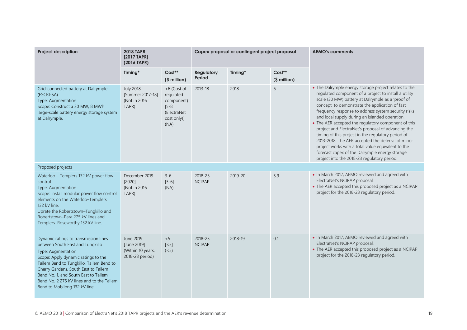| <b>Project description</b>                                                                                                                                                                                                                                                                                                                       | <b>2018 TAPR</b><br>[2017 TAPR]<br>(2016 TAPR)                   |                                                                                            | Capex proposal or contingent project proposal |         |                          | <b>AEMO's comments</b>                                                                                                                                                                                                                                                                                                                                                                                                                                                                                                                                                                                                                                                                                         |
|--------------------------------------------------------------------------------------------------------------------------------------------------------------------------------------------------------------------------------------------------------------------------------------------------------------------------------------------------|------------------------------------------------------------------|--------------------------------------------------------------------------------------------|-----------------------------------------------|---------|--------------------------|----------------------------------------------------------------------------------------------------------------------------------------------------------------------------------------------------------------------------------------------------------------------------------------------------------------------------------------------------------------------------------------------------------------------------------------------------------------------------------------------------------------------------------------------------------------------------------------------------------------------------------------------------------------------------------------------------------------|
|                                                                                                                                                                                                                                                                                                                                                  | Timing*                                                          | $Cost**$<br>(\$ million)                                                                   | <b>Regulatory</b><br>Period                   | Timing* | $Cost**$<br>(\$ million) |                                                                                                                                                                                                                                                                                                                                                                                                                                                                                                                                                                                                                                                                                                                |
| Grid-connected battery at Dalrymple<br>(ESCRI-SA)<br>Type: Augmentation<br>Scope: Construct a 30 MW, 8 MWh<br>large-scale battery energy storage system<br>at Dalrymple.                                                                                                                                                                         | <b>July 2018</b><br>[Summer 2017-18]<br>(Not in 2016)<br>TAPR)   | <6 (Cost of<br>regulated<br>component)<br>$[5 - 8]$<br>(ElectraNet)<br>cost only)]<br>(NA) | 2013-18                                       | 2018    | 6                        | • The Dalrymple energy storage project relates to the<br>regulated component of a project to install a utility<br>scale (30 MW) battery at Dalrymple as a 'proof of<br>concept' to demonstrate the application of fast<br>frequency response to address system security risks<br>and local supply during an islanded operation.<br>• The AER accepted the regulatory component of this<br>project and ElectraNet's proposal of advancing the<br>timing of this project in the regulatory period of<br>2013-2018. The AER accepted the deferral of minor<br>project works with a total value equivalent to the<br>forecast capex of the Dalrymple energy storage<br>project into the 2018-23 regulatory period. |
| Proposed projects                                                                                                                                                                                                                                                                                                                                |                                                                  |                                                                                            |                                               |         |                          |                                                                                                                                                                                                                                                                                                                                                                                                                                                                                                                                                                                                                                                                                                                |
| Waterloo - Templers 132 kV power flow<br>control<br>Type: Augmentation<br>Scope: Install modular power flow control<br>elements on the Waterloo-Templers<br>132 kV line.<br>Uprate the Robertstown-Tungkillo and<br>Robertstown-Para 275 kV lines and<br>Templers-Roseworthy 132 kV line.                                                        | December 2019<br>[2020]<br>(Not in 2016)<br>TAPR)                | $3 - 6$<br>$[3-6]$<br>(NA)                                                                 | 2018-23<br><b>NCIPAP</b>                      | 2019-20 | 5.9                      | • In March 2017, AEMO reviewed and agreed with<br>ElectraNet's NCIPAP proposal.<br>• The AER accepted this proposed project as a NCIPAP<br>project for the 2018-23 regulatory period.                                                                                                                                                                                                                                                                                                                                                                                                                                                                                                                          |
| Dynamic ratings to transmission lines<br>between South East and Tungkillo<br>Type: Augmentation<br>Scope: Apply dynamic ratings to the<br>Tailem Bend to Tungkillo, Tailem Bend to<br>Cherry Gardens, South East to Tailem<br>Bend No. 1, and South East to Tailem<br>Bend No. 2 275 kV lines and to the Tailem<br>Bend to Mobilong 132 kV line. | June 2019<br>[June 2019]<br>(Within 10 years,<br>2018-23 period) | < 5<br>$\lceil$ < 5]<br>(< 5)                                                              | 2018-23<br><b>NCIPAP</b>                      | 2018-19 | 0.1                      | • In March 2017, AEMO reviewed and agreed with<br>ElectraNet's NCIPAP proposal.<br>• The AER accepted this proposed project as a NCIPAP<br>project for the 2018-23 regulatory period.                                                                                                                                                                                                                                                                                                                                                                                                                                                                                                                          |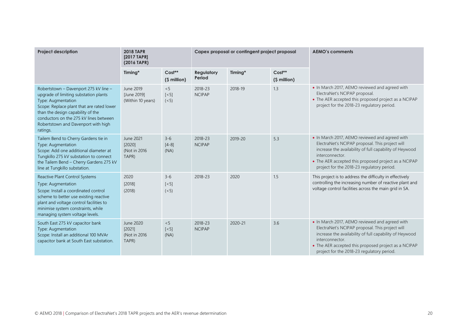| <b>Project description</b>                                                                                                                                                                                                                                                          | <b>2018 TAPR</b><br>[2017 TAPR]<br>(2016 TAPR) |                                      |                             | Capex proposal or contingent project proposal |                           | <b>AEMO's comments</b>                                                                                                                                                                                                                                                                |
|-------------------------------------------------------------------------------------------------------------------------------------------------------------------------------------------------------------------------------------------------------------------------------------|------------------------------------------------|--------------------------------------|-----------------------------|-----------------------------------------------|---------------------------|---------------------------------------------------------------------------------------------------------------------------------------------------------------------------------------------------------------------------------------------------------------------------------------|
|                                                                                                                                                                                                                                                                                     | Timing*                                        | $Cost**$<br>(\$ million)             | <b>Regulatory</b><br>Period | Timing*                                       | $Cost**$<br>$(S$ million) |                                                                                                                                                                                                                                                                                       |
| Robertstown - Davenport 275 kV line -<br>upgrade of limiting substation plants<br>Type: Augmentation<br>Scope: Replace plant that are rated lower<br>than the design capability of the<br>conductors on the 275 kV lines between<br>Robertstown and Davenport with high<br>ratings. | June 2019<br>[June 2019]<br>(Within 10 years)  | < 5<br>$\left[ < 5 \right]$<br>(< 5) | 2018-23<br><b>NCIPAP</b>    | 2018-19                                       | 1.3                       | . In March 2017, AEMO reviewed and agreed with<br>ElectraNet's NCIPAP proposal.<br>• The AER accepted this proposed project as a NCIPAP<br>project for the 2018-23 regulatory period.                                                                                                 |
| Tailem Bend to Cherry Gardens tie in<br>Type: Augmentation<br>Scope: Add one additional diameter at<br>Tungkillo 275 kV substation to connect<br>the Tailem Bend - Cherry Gardens 275 kV<br>line at Tungkillo substation.                                                           | June 2021<br>[2020]<br>(Not in 2016)<br>TAPR)  | $3-6$<br>$[4-8]$<br>(NA)             | 2018-23<br><b>NCIPAP</b>    | 2019-20                                       | 5.3                       | • In March 2017, AEMO reviewed and agreed with<br>ElectraNet's NCIPAP proposal. This project will<br>increase the availability of full capability of Heywood<br>interconnector.<br>• The AER accepted this proposed project as a NCIPAP<br>project for the 2018-23 regulatory period. |
| Reactive Plant Control Systems<br>Type: Augmentation<br>Scope: Install a coordinated control<br>scheme to better use existing reactive<br>plant and voltage control facilities to<br>minimise system constraints, while<br>managing system voltage levels.                          | 2020<br>[2018]<br>(2018)                       | $3 - 6$<br>$\lceil$ < 5]<br>(< 5)    | 2018-23                     | 2020                                          | 1.5                       | This project is to address the difficulty in effectively<br>controlling the increasing number of reactive plant and<br>voltage control facilities across the main grid in SA.                                                                                                         |
| South East 275 kV capacitor bank<br>Type: Augmentation<br>Scope: Install an additional 100 MVAr<br>capacitor bank at South East substation.                                                                                                                                         | June 2020<br>[2021]<br>(Not in 2016)<br>TAPR)  | < 5<br>$[<5]$<br>(NA)                | 2018-23<br><b>NCIPAP</b>    | 2020-21                                       | 3.6                       | • In March 2017, AEMO reviewed and agreed with<br>ElectraNet's NCIPAP proposal. This project will<br>increase the availability of full capability of Heywood<br>interconnector.<br>• The AER accepted this proposed project as a NCIPAP<br>project for the 2018-23 regulatory period. |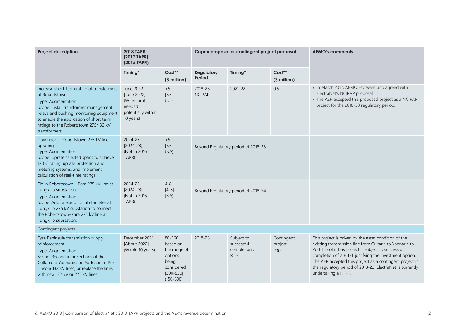| <b>Project description</b>                                                                                                                                                                                                                                                 | <b>2018 TAPR</b><br>[2017 TAPR]<br>(2016 TAPR)                                        |                                                                                                        | Capex proposal or contingent project proposal |                                                    |                              | <b>AEMO's comments</b>                                                                                                                                                                                                                                                                                                                                                            |
|----------------------------------------------------------------------------------------------------------------------------------------------------------------------------------------------------------------------------------------------------------------------------|---------------------------------------------------------------------------------------|--------------------------------------------------------------------------------------------------------|-----------------------------------------------|----------------------------------------------------|------------------------------|-----------------------------------------------------------------------------------------------------------------------------------------------------------------------------------------------------------------------------------------------------------------------------------------------------------------------------------------------------------------------------------|
|                                                                                                                                                                                                                                                                            | Timing*                                                                               | $Cost**$<br>(\$ million)                                                                               | <b>Regulatory</b><br>Period                   | Timing*                                            | Cost**<br>(\$ million)       |                                                                                                                                                                                                                                                                                                                                                                                   |
| Increase short-term rating of transformers<br>at Robertstown<br>Type: Augmentation<br>Scope: Install transformer management<br>relays and bushing monitoring equipment<br>to enable the application of short term<br>ratings to the Robertstown 275/132 kV<br>transformers | June 2022<br>[June 2022]<br>(When or if<br>needed:<br>potentially within<br>10 years) | < 5<br>$[<5]$<br>(< 5)                                                                                 | 2018-23<br><b>NCIPAP</b>                      | 2021-22                                            | 0.5                          | . In March 2017, AEMO reviewed and agreed with<br>ElectraNet's NCIPAP proposal.<br>• The AER accepted this proposed project as a NCIPAP<br>project for the 2018-23 regulatory period.                                                                                                                                                                                             |
| Davenport - Robertstown 275 kV line<br>uprating<br>Type: Augmentation<br>Scope: Uprate selected spans to achieve<br>120°C rating, uprate protection and<br>metering systems, and implement<br>calculation of real-time ratings.                                            | 2024-28<br>$[2024 - 28]$<br>(Not in 2016)<br>TAPR)                                    | < 5<br>$\left[ <5\right]$<br>(NA)                                                                      | Beyond Regulatory period of 2018-23           |                                                    |                              |                                                                                                                                                                                                                                                                                                                                                                                   |
| Tie in Robertstown - Para 275 kV line at<br>Tungkillo substation<br>Type: Augmentation<br>Scope: Add one additional diameter at<br>Tungkillo 275 kV substation to connect<br>the Robertstown-Para 275 kV line at<br>Tungkillo substation.                                  | 2024-28<br>$[2024 - 28]$<br>(Not in 2016)<br>TAPR)                                    | $4 - 8$<br>$[4-8]$<br>(NA)                                                                             |                                               | Beyond Regulatory period of 2018-24                |                              |                                                                                                                                                                                                                                                                                                                                                                                   |
| Contingent projects                                                                                                                                                                                                                                                        |                                                                                       |                                                                                                        |                                               |                                                    |                              |                                                                                                                                                                                                                                                                                                                                                                                   |
| Eyre Peninsula transmission supply<br>reinforcement<br>Type: Augmentation<br>Scope: Reconductor sections of the<br>Cultana to Yadnarie and Yadnarie to Port<br>Lincoln 132 kV lines, or replace the lines<br>with new 132 kV or 275 kV lines.                              | December 2021<br>[About 2022]<br>(Within 10 years)                                    | 80-560<br>based on<br>the range of<br>options<br>being<br>considered<br>$[200 - 550]$<br>$(150 - 300)$ | 2018-23                                       | Subject to<br>successful<br>completion of<br>RIT-T | Contingent<br>project<br>200 | This project is driven by the asset condition of the<br>existing transmission line from Cultana to Yadnarie to<br>Port Lincoln. This project is subject to successful<br>completion of a RIT-T justifying the investment option.<br>The AER accepted this project as a contingent project in<br>the regulatory period of 2018-23. ElectraNet is currently<br>undertaking a RIT-T. |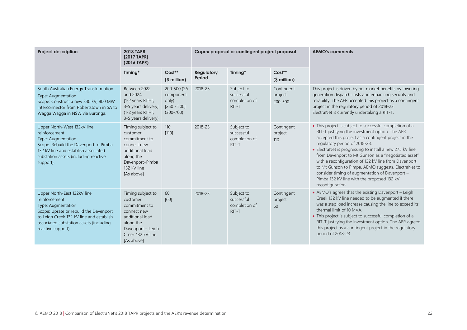| <b>Project description</b>                                                                                                                                                                                                | <b>2018 TAPR</b><br>[2017 TAPR]<br>(2016 TAPR)                                                                                                        |                                                                     |                             | Capex proposal or contingent project proposal        |                                  | <b>AEMO's comments</b>                                                                                                                                                                                                                                                                                                                                                                                                                                                                                                                                    |
|---------------------------------------------------------------------------------------------------------------------------------------------------------------------------------------------------------------------------|-------------------------------------------------------------------------------------------------------------------------------------------------------|---------------------------------------------------------------------|-----------------------------|------------------------------------------------------|----------------------------------|-----------------------------------------------------------------------------------------------------------------------------------------------------------------------------------------------------------------------------------------------------------------------------------------------------------------------------------------------------------------------------------------------------------------------------------------------------------------------------------------------------------------------------------------------------------|
|                                                                                                                                                                                                                           | Timing*                                                                                                                                               | $Cost**$<br>(\$ million)                                            | <b>Regulatory</b><br>Period | Timing*                                              | Cost**<br>(\$ million)           |                                                                                                                                                                                                                                                                                                                                                                                                                                                                                                                                                           |
| South Australian Energy Transformation<br>Type: Augmentation<br>Scope: Construct a new 330 kV, 800 MW<br>interconnector from Robertstown in SA to<br>Wagga Wagga in NSW via Buronga.                                      | Between 2022<br>and 2024<br>$[1-2$ years RIT-T,<br>3-5 years delivery]<br>(1-2 years RIT-T,<br>3-5 years delivery)                                    | 200-500 (SA<br>component<br>only)<br>$[250 - 500]$<br>$(300 - 700)$ | 2018-23                     | Subject to<br>successful<br>completion of<br>RIT-T   | Contingent<br>project<br>200-500 | This project is driven by net market benefits by lowering<br>generation dispatch costs and enhancing security and<br>reliability. The AER accepted this project as a contingent<br>project in the regulatory period of 2018-23.<br>ElectraNet is currently undertaking a RIT-T.                                                                                                                                                                                                                                                                           |
| Upper North-West 132kV line<br>reinforcement<br>Type: Augmentation<br>Scope: Rebuild the Davenport to Pimba<br>132 kV line and establish associated<br>substation assets (including reactive<br>support).                 | Timing subject to<br>customer<br>commitment to<br>connect new<br>additional load<br>along the<br>Davenport-Pimba<br>132 kV line<br>[As above]         | 110<br>[110]                                                        | 2018-23                     | Subject to<br>successful<br>completion of<br>$RIT-T$ | Contingent<br>project<br>110     | • This project is subject to successful completion of a<br>RIT-T justifying the investment option. The AER<br>accepted this project as a contingent project in the<br>regulatory period of 2018-23.<br>• ElectraNet is progressing to install a new 275 kV line<br>from Davenport to Mt Gunson as a "negotiated asset"<br>with a reconfiguration of 132 kV line from Davenport<br>to Mt Gunson to Pimpa. AEMO suggests, ElectraNet to<br>consider timing of augmentation of Davenport -<br>Pimba 132 kV line with the proposed 132 kV<br>reconfiguration. |
| Upper North-East 132kV line<br>reinforcement<br>Type: Augmentation<br>Scope: Uprate or rebuild the Davenport<br>to Leigh Creek 132 kV line and establish<br>associated substation assets (including<br>reactive support). | Timing subject to<br>customer<br>commitment to<br>connect new<br>additional load<br>along the<br>Davenport - Leigh<br>Creek 132 kV line<br>[As above] | 60<br>[60]                                                          | 2018-23                     | Subject to<br>successful<br>completion of<br>RIT-T   | Contingent<br>project<br>60      | • AEMO's agrees that the existing Davenport - Leigh<br>Creek 132 kV line needed to be augmented if there<br>was a step load increase causing the line to exceed its<br>thermal limit of 10 MVA.<br>• This project is subject to successful completion of a<br>RIT-T justifying the investment option. The AER agreed<br>this project as a contingent project in the regulatory<br>period of 2018-23.                                                                                                                                                      |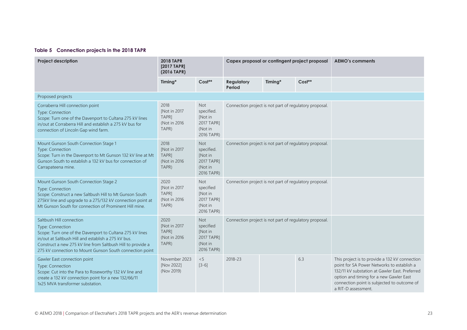#### **Table 5 Connection projects in the 2018 TAPR**

<span id="page-22-0"></span>

| <b>Project description</b>                                                                                                                                                                                                                                                                 | <b>2018 TAPR</b><br>[2017 TAPR]<br>(2016 TAPR)          |                                                                            | Capex proposal or contingent project proposal          |         |        | <b>AEMO's comments</b>                                                                                                                                                                                                                                          |
|--------------------------------------------------------------------------------------------------------------------------------------------------------------------------------------------------------------------------------------------------------------------------------------------|---------------------------------------------------------|----------------------------------------------------------------------------|--------------------------------------------------------|---------|--------|-----------------------------------------------------------------------------------------------------------------------------------------------------------------------------------------------------------------------------------------------------------------|
|                                                                                                                                                                                                                                                                                            | Timing*                                                 | Cost**                                                                     | <b>Regulatory</b><br>Period                            | Timing* | Cost** |                                                                                                                                                                                                                                                                 |
| Proposed projects                                                                                                                                                                                                                                                                          |                                                         |                                                                            |                                                        |         |        |                                                                                                                                                                                                                                                                 |
| Corraberra Hill connection point<br>Type: Connection<br>Scope: Turn one of the Davenport to Cultana 275 kV lines<br>in/out at Corraberra Hill and establish a 275 kV bus for<br>connection of Lincoln Gap wind farm.                                                                       | 2018<br>[Not in 2017<br>TAPR]<br>(Not in 2016)<br>TAPR) | <b>Not</b><br>specified.<br>[Not in<br>2017 TAPR1<br>(Not in<br>2016 TAPR) | Connection project is not part of regulatory proposal. |         |        |                                                                                                                                                                                                                                                                 |
| Mount Gunson South Connection Stage 1<br>Type: Connection<br>Scope: Turn in the Davenport to Mt Gunson 132 kV line at Mt<br>Gunson South to establish a 132 kV bus for connection of<br>Carrapateena mine.                                                                                 | 2018<br>[Not in 2017<br>TAPR1<br>(Not in 2016)<br>TAPR) | <b>Not</b><br>specified.<br>[Not in<br>2017 TAPR]<br>(Not in<br>2016 TAPR) | Connection project is not part of regulatory proposal. |         |        |                                                                                                                                                                                                                                                                 |
| Mount Gunson South Connection Stage 2<br>Type: Connection<br>Scope: Construct a new Saltbush Hill to Mt Gunson South<br>275kV line and upgrade to a 275/132 kV connection point at<br>Mt Gunson South for connection of Prominent Hill mine.                                               | 2020<br>[Not in 2017<br>TAPR]<br>(Not in 2016)<br>TAPR) | <b>Not</b><br>specified<br>[Not in<br>2017 TAPR1<br>(Not in<br>2016 TAPR)  | Connection project is not part of regulatory proposal. |         |        |                                                                                                                                                                                                                                                                 |
| Saltbush Hill connection<br>Type: Connection<br>Scope: Turn one of the Davenport to Cultana 275 kV lines<br>in/out at Saltbush Hill and establish a 275 kV bus.<br>Construct a new 275 kV line from Saltbush Hill to provide a<br>275 kV connection to Mount Gunson South connection point | 2020<br>[Not in 2017<br>TAPR]<br>(Not in 2016)<br>TAPR) | <b>Not</b><br>specified<br>[Not in<br>2017 TAPR]<br>(Not in<br>2016 TAPR)  | Connection project is not part of regulatory proposal. |         |        |                                                                                                                                                                                                                                                                 |
| Gawler East connection point<br>Type: Connection<br>Scope: Cut into the Para to Roseworthy 132 kV line and<br>create a 132 kV connection point for a new 132/66/11<br>1x25 MVA transformer substation.                                                                                     | November 2023<br>[Nov 2022]<br>(Nov 2019)               | < 5<br>$[3-6]$                                                             | 2018-23                                                |         | 6.3    | This project is to provide a 132 kV connection<br>point for SA Power Networks to establish a<br>132/11 kV substation at Gawler East. Preferred<br>option and timing for a new Gawler East<br>connection point is subjected to outcome of<br>a RIT-D assessment. |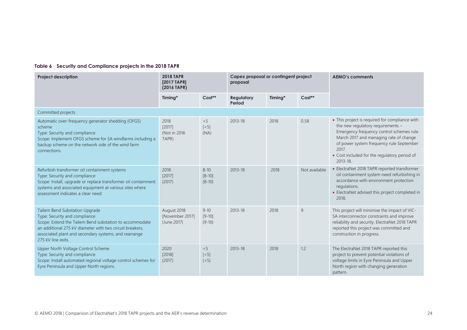#### **Table 6 Security and Compliance projects in the 2018 TAPR**

<span id="page-23-0"></span>

| <b>Project description</b>                                                                                                                                                                                                                                            | <b>2018 TAPR</b><br>[2017 TAPR]<br>(2016 TAPR) |                                    | Capex proposal or contingent project<br>proposal |         |                | <b>AEMO's comments</b>                                                                                                                                                                                                                                                                     |
|-----------------------------------------------------------------------------------------------------------------------------------------------------------------------------------------------------------------------------------------------------------------------|------------------------------------------------|------------------------------------|--------------------------------------------------|---------|----------------|--------------------------------------------------------------------------------------------------------------------------------------------------------------------------------------------------------------------------------------------------------------------------------------------|
|                                                                                                                                                                                                                                                                       | Timing*                                        | $Cost**$                           | <b>Regulatory</b><br>Period                      | Timing* | $Cost**$       |                                                                                                                                                                                                                                                                                            |
| Committed projects                                                                                                                                                                                                                                                    |                                                |                                    |                                                  |         |                |                                                                                                                                                                                                                                                                                            |
| Automatic over-frequency generator shedding (OFGS)<br>scheme<br>Type: Security and compliance<br>Scope: Implement OFGS scheme for SA windfarms including a<br>backup scheme on the network side of the wind farm<br>connections.                                      | 2018<br>[2017]<br>(Not in 2016)<br>TAPR)       | < 5<br>$\lceil$ < 5]<br>(NA)       | $2013 - 18$                                      | 2018    | 0.58           | • This project is required for compliance with<br>the new regulatory requirements -<br>Emergency frequency control schemes rule<br>March 2017 and managing rate of change<br>of power system frequency rule September<br>2017.<br>• Cost included for the regulatory period of<br>2013-18. |
| Refurbish transformer oil containment systems<br>Type: Security and compliance<br>Scope: Install, upgrade or replace transformer oil containment<br>systems and associated equipment at various sites where<br>assessment indicates a clear need.                     | 2018<br>[2017]<br>(2017)                       | $8 - 10$<br>$[8 - 10]$<br>$(8-10)$ | $2013 - 18$                                      | 2018    | Not available  | • ElectraNet 2018 TAPR reported transformer<br>oil containment system need refurbishing in<br>accordance with environment protection<br>regulations.<br>• ElectraNet advised this project completed in<br>2018.                                                                            |
| Tailem Bend Substation Upgrade<br>Type: Security and compliance<br>Scope: Extend the Tailem Bend substation to accommodate<br>an additional 275 kV diameter with two circuit breakers.<br>associated plant and secondary systems, and rearrange<br>275 kV line exits. | August 2018<br>[November 2017]<br>(June 2017)  | $9 - 10$<br>$[9 - 10]$<br>$(9-10)$ | 2013-18                                          | 2018    | $\overline{9}$ | This project will minimise the impact of VIC-<br>SA interconnector constraints and improve<br>reliability and security. ElectraNet 2018 TAPR<br>reported this project was committed and<br>construction in progress.                                                                       |
| Upper North Voltage Control Scheme<br>Type: Security and compliance<br>Scope: Install automated regional voltage control schemes for<br>Eyre Peninsula and Upper North regions.                                                                                       | 2020<br>[2018]<br>(2017)                       | < 5<br>$\lceil$ < 5]<br>(< 5)      | $2013 - 18$                                      | 2018    | 1.2            | The ElectraNet 2018 TAPR reported this<br>project to prevent potential violations of<br>voltage limits in Eyre Peninsula and Upper<br>North region with changing generation<br>pattern.                                                                                                    |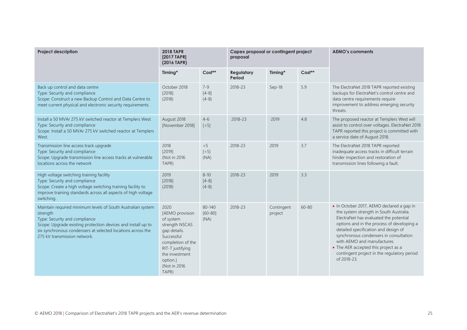| <b>Project description</b>                                                                                                                                                                                                                                              | <b>2018 TAPR</b><br>[2017 TAPR]<br>(2016 TAPR)                                                                                                                                        |                                   | Capex proposal or contingent project<br>proposal |                       |          | <b>AEMO's comments</b>                                                                                                                                                                                                                                                                                                                                                                              |
|-------------------------------------------------------------------------------------------------------------------------------------------------------------------------------------------------------------------------------------------------------------------------|---------------------------------------------------------------------------------------------------------------------------------------------------------------------------------------|-----------------------------------|--------------------------------------------------|-----------------------|----------|-----------------------------------------------------------------------------------------------------------------------------------------------------------------------------------------------------------------------------------------------------------------------------------------------------------------------------------------------------------------------------------------------------|
|                                                                                                                                                                                                                                                                         | Timing*                                                                                                                                                                               | $Cost**$                          | Regulatory<br>Period                             | Timing*               | $Cost**$ |                                                                                                                                                                                                                                                                                                                                                                                                     |
| Back up control and data centre<br>Type: Security and compliance<br>Scope: Construct a new Backup Control and Data Centre to<br>meet current physical and electronic security requirements.                                                                             | October 2018<br>[2018]<br>(2018)                                                                                                                                                      | $7 - 9$<br>$[4-8]$<br>$(4-8)$     | 2018-23                                          | Sep-18                | 5.9      | The ElectraNet 2018 TAPR reported existing<br>backups for ElectraNet's control centre and<br>data centre requirements require<br>improvement to address emerging security<br>threats.                                                                                                                                                                                                               |
| Install a 50 MVAr 275 kV switched reactor at Templers West<br>Type: Security and compliance<br>Scope: Install a 50 MVAr 275 kV switched reactor at Templers<br>West.                                                                                                    | August 2018<br>[November 2018]                                                                                                                                                        | $4-6$<br>$\left[ <5\right]$       | 2018-23                                          | 2019                  | 4.8      | The proposed reactor at Templers West will<br>assist to control over voltages. ElectraNet 2018<br>TAPR reported this project is committed with<br>a service date of August 2018.                                                                                                                                                                                                                    |
| Transmission line access track upgrade<br>Type: Security and compliance<br>Scope: Upgrade transmission line access tracks at vulnerable<br>locations across the network                                                                                                 | 2018<br>[2019]<br>(Not in 2016)<br>TAPR)                                                                                                                                              | < 5<br>$\left[ <5\right]$<br>(NA) | 2018-23                                          | 2019                  | 3.7      | The ElectraNet 2018 TAPR reported<br>inadequate access tracks in difficult terrain<br>hinder inspection and restoration of<br>transmission lines following a fault.                                                                                                                                                                                                                                 |
| High voltage switching training facility<br>Type: Security and compliance<br>Scope: Create a high voltage switching training facility to<br>improve training standards across all aspects of high voltage<br>switching.                                                 | 2019<br>[2018]<br>(2018)                                                                                                                                                              | $8 - 10$<br>$[4-8]$<br>$(4-8)$    | 2018-23                                          | 2019                  | 3.3      |                                                                                                                                                                                                                                                                                                                                                                                                     |
| Maintain required minimum levels of South Australian system<br>strength<br>Type: Security and compliance<br>Scope: Upgrade existing protection devices and install up to<br>six synchronous condensers at selected locations across the<br>275 kV transmission network. | 2020<br>[AEMO provision<br>of system<br>strength NSCAS<br>gap details.<br>Successful<br>completion of the<br>RIT-T justifying<br>the investment<br>option.]<br>(Not in 2016)<br>TAPR) | 80-140<br>$[60 - 80]$<br>(NA)     | 2018-23                                          | Contingent<br>project | 60-80    | • In October 2017, AEMO declared a gap in<br>the system strength in South Australia.<br>ElectraNet has evaluated the potential<br>options and in the process of developing a<br>detailed specification and design of<br>synchronous condensers in consultation<br>with AEMO and manufactures.<br>• The AER accepted this project as a<br>contingent project in the regulatory period<br>of 2018-23. |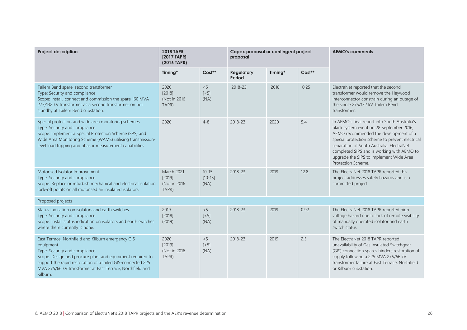| <b>Project description</b>                                                                                                                                                                                                                                                                            | <b>2018 TAPR</b><br>[2017 TAPR]<br>(2016 TAPR) |                                     | Capex proposal or contingent project<br>proposal |         |        | <b>AEMO's comments</b>                                                                                                                                                                                                                                                                                                                            |
|-------------------------------------------------------------------------------------------------------------------------------------------------------------------------------------------------------------------------------------------------------------------------------------------------------|------------------------------------------------|-------------------------------------|--------------------------------------------------|---------|--------|---------------------------------------------------------------------------------------------------------------------------------------------------------------------------------------------------------------------------------------------------------------------------------------------------------------------------------------------------|
|                                                                                                                                                                                                                                                                                                       | Timing*                                        | Cost**                              | <b>Regulatory</b><br>Period                      | Timing* | Cost** |                                                                                                                                                                                                                                                                                                                                                   |
| Tailem Bend spare, second transformer<br>Type: Security and compliance<br>Scope: Install, connect and commission the spare 160 MVA<br>275/132 kV transformer as a second transformer on hot<br>standby at Tailem Bend substation.                                                                     | 2020<br>[2018]<br>(Not in 2016)<br>TAPR)       | < 5<br>$[<5]$<br>(NA)               | 2018-23                                          | 2018    | 0.25   | ElectraNet reported that the second<br>transformer would remove the Heywood<br>interconnector constrain during an outage of<br>the single 275/132 kV Tailem Bend<br>transformer.                                                                                                                                                                  |
| Special protection and wide area monitoring schemes<br>Type: Security and compliance<br>Scope: Implement a Special Protection Scheme (SPS) and<br>Wide Area Monitoring Scheme (WAMS) utilising transmission-<br>level load tripping and phasor measurement capabilities.                              | 2020                                           | $4 - 8$                             | 2018-23                                          | 2020    | 5.4    | In AEMO's final report into South Australia's<br>black system event on 28 September 2016,<br>AEMO recommended the development of a<br>special protection scheme to prevent electrical<br>separation of South Australia. ElectraNet<br>completed SIPS and is working with AEMO to<br>upgrade the SIPS to implement Wide Area<br>Protection Scheme. |
| Motorised Isolator Improvement<br>Type: Security and compliance<br>Scope: Replace or refurbish mechanical and electrical isolation<br>lock-off points on all motorised air insulated isolators.                                                                                                       | March 2021<br>[2019]<br>(Not in 2016)<br>TAPR) | $10 - 15$<br>$[10-15]$<br>(NA)      | 2018-23                                          | 2019    | 12.8   | The ElectraNet 2018 TAPR reported this<br>project addresses safety hazards and is a<br>committed project.                                                                                                                                                                                                                                         |
| Proposed projects                                                                                                                                                                                                                                                                                     |                                                |                                     |                                                  |         |        |                                                                                                                                                                                                                                                                                                                                                   |
| Status indication on isolators and earth switches<br>Type: Security and compliance<br>Scope: Install status indication on isolators and earth switches<br>where there currently is none.                                                                                                              | 2019<br>[2018]<br>(2019)                       | < 5<br>$\left[ < 5 \right]$<br>(NA) | 2018-23                                          | 2019    | 0.92   | The ElectraNet 2018 TAPR reported high<br>voltage hazard due to lack of remote visibility<br>of manually operated isolator and earth<br>switch status.                                                                                                                                                                                            |
| East Terrace, Northfield and Kilburn emergency GIS<br>equipment<br>Type: Security and compliance<br>Scope: Design and procure plant and equipment required to<br>support the rapid restoration of a failed GIS-connected 225<br>MVA 275/66 kV transformer at East Terrace, Northfield and<br>Kilburn. | 2020<br>[2019]<br>(Not in 2016)<br>TAPR)       | < 5<br>$\left[ <5\right]$<br>(NA)   | 2018-23                                          | 2019    | 2.5    | The ElectraNet 2018 TAPR reported<br>unavailability of Gas Insulated Switchgear<br>(GIS) connection spares hinders restoration of<br>supply following a 225 MVA 275/66 kV<br>transformer failure at East Terrace, Northfield<br>or Kilburn substation.                                                                                            |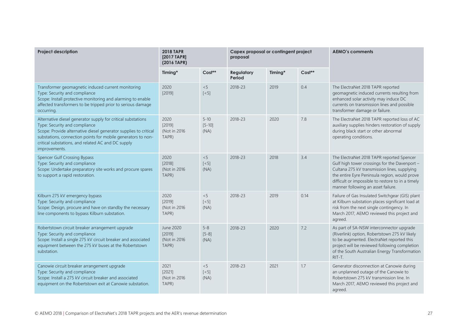| <b>Project description</b>                                                                                                                                                                                                                                                                               | <b>2018 TAPR</b><br>[2017 TAPR]<br>(2016 TAPR) |                                   | Capex proposal or contingent project<br>proposal |         |          | <b>AEMO's comments</b>                                                                                                                                                                                                                                                                 |
|----------------------------------------------------------------------------------------------------------------------------------------------------------------------------------------------------------------------------------------------------------------------------------------------------------|------------------------------------------------|-----------------------------------|--------------------------------------------------|---------|----------|----------------------------------------------------------------------------------------------------------------------------------------------------------------------------------------------------------------------------------------------------------------------------------------|
|                                                                                                                                                                                                                                                                                                          | Timing*                                        | Cost**                            | <b>Regulatory</b><br>Period                      | Timing* | $Cost**$ |                                                                                                                                                                                                                                                                                        |
| Transformer geomagnetic induced current monitoring<br>Type: Security and compliance<br>Scope: Install protective monitoring and alarming to enable<br>affected transformers to be tripped prior to serious damage<br>occurring.                                                                          | 2020<br>[2019]                                 | < 5<br>$\left[ <5\right]$         | 2018-23                                          | 2019    | 0.4      | The ElectraNet 2018 TAPR reported<br>geomagnetic induced currents resulting from<br>enhanced solar activity may induce DC<br>currents on transmission lines and possible<br>transformer damage or failure.                                                                             |
| Alternative diesel generator supply for critical substations<br>Type: Security and compliance<br>Scope: Provide alternative diesel generator supplies to critical<br>substations, connection points for mobile generators to non-<br>critical substations, and related AC and DC supply<br>improvements. | 2020<br>[2019]<br>(Not in 2016)<br>TAPR)       | $5 - 10$<br>$[5 - 10]$<br>(NA)    | 2018-23                                          | 2020    | 7.8      | The ElectraNet 2018 TAPR reported loss of AC<br>auxiliary supplies hinders restoration of supply<br>during black start or other abnormal<br>operating conditions.                                                                                                                      |
| <b>Spencer Gulf Crossing Bypass</b><br>Type: Security and compliance<br>Scope: Undertake preparatory site works and procure spares<br>to support a rapid restoration.                                                                                                                                    | 2020<br>[2018]<br>(Not in 2016<br>TAPR)        | < 5<br>$\left[ <5\right]$<br>(NA) | 2018-23                                          | 2018    | 3.4      | The ElectraNet 2018 TAPR reported Spencer<br>Gulf high tower crossings for the Davenport -<br>Cultana 275 kV transmission lines, supplying<br>the entire Eyre Peninsula region, would prove<br>difficult or impossible to restore to in a timely<br>manner following an asset failure. |
| Kilburn 275 kV emergency bypass<br>Type: Security and compliance<br>Scope: Design, procure and have on standby the necessary<br>line components to bypass Kilburn substation.                                                                                                                            | 2020<br>[2019]<br>(Not in 2016<br>TAPR)        | < 5<br>$\left[ <5\right]$<br>(NA) | 2018-23                                          | 2019    | 0.14     | Failure of Gas Insulated Switchgear (GIS) plant<br>at Kilburn substation places significant load at<br>risk from the next single contingency. In<br>March 2017, AEMO reviewed this project and<br>agreed.                                                                              |
| Robertstown circuit breaker arrangement upgrade<br>Type: Security and compliance<br>Scope: Install a single 275 kV circuit breaker and associated<br>equipment between the 275 kV buses at the Robertstown<br>substation.                                                                                | June 2020<br>[2019]<br>(Not in 2016<br>TAPR)   | $5 - 8$<br>$[5-8]$<br>(NA)        | 2018-23                                          | 2020    | 7.2      | As part of SA-NSW interconnector upgrade<br>(Riverlink) option, Robertstown 275 kV likely<br>to be augmented. ElectraNet reported this<br>project will be reviewed following completion<br>of the South Australian Energy Transformation<br>RIT-T.                                     |
| Canowie circuit breaker arrangement upgrade<br>Type: Security and compliance<br>Scope: Install a 275 kV circuit breaker and associated<br>equipment on the Robertstown exit at Canowie substation.                                                                                                       | 2021<br>[2021]<br>(Not in 2016<br>TAPR)        | < 5<br>$\left[ <5\right]$<br>(NA) | 2018-23                                          | 2021    | 1.7      | Generator disconnection at Canowie during<br>an unplanned outage of the Canowie to<br>Robertstown 275 kV transmission line. In<br>March 2017, AEMO reviewed this project and<br>agreed.                                                                                                |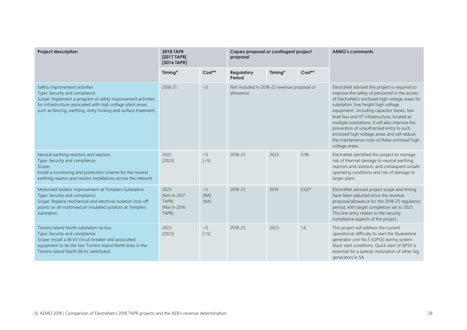| <b>Project description</b>                                                                                                                                                                                                                                       | <b>2018 TAPR</b><br>[2017 TAPR]<br>(2016 TAPR)          |                           | Capex proposal or contingent project<br>proposal         |         |          | <b>AEMO's comments</b>                                                                                                                                                                                                                                                                                                                                                                                                                                                                                |
|------------------------------------------------------------------------------------------------------------------------------------------------------------------------------------------------------------------------------------------------------------------|---------------------------------------------------------|---------------------------|----------------------------------------------------------|---------|----------|-------------------------------------------------------------------------------------------------------------------------------------------------------------------------------------------------------------------------------------------------------------------------------------------------------------------------------------------------------------------------------------------------------------------------------------------------------------------------------------------------------|
|                                                                                                                                                                                                                                                                  | Timing*                                                 | Cost**                    | <b>Regulatory</b><br>Period                              | Timing* | $Cost**$ |                                                                                                                                                                                                                                                                                                                                                                                                                                                                                                       |
| Safety improvement activities<br>Type: Security and compliance<br>Scope: Implement a program of safety improvement activities<br>for infrastructure associated with high voltage plant areas,<br>such as fencing, earthing, entry locking and surface treatment. | 2018-21                                                 | < 5                       | Not included in 2018-23 revenue proposal or<br>allowance |         |          | ElectraNet advised this project is required to<br>improve the safety of personnel in the access<br>of ElectraNet's enclosed high voltage areas for<br>substation 'low height high voltage<br>equipment', including capacitor banks, low<br>level bus and VT infrastructure, located at<br>multiple substations. It will also improve the<br>prevention of unauthorised entry to such<br>enclosed high voltage areas and will reduce<br>the maintenance costs of these enclosed high<br>voltage areas. |
| Neutral earthing resistors and reactors<br>Type: Security and compliance<br>Scope:<br>Install a monitoring and protection scheme for the neutral<br>earthing reactor and resistor installations across the network.                                              | 2022<br>[2023]                                          | < 5<br>$\lceil$ < 5]      | 2018-23                                                  | 2023    | 0.96     | ElectraNet identified this project to manage<br>risk of thermal damage to neutral earthing<br>reactors and resistors, and consequent unsafe<br>operating conditions and risk of damage to<br>larger plant.                                                                                                                                                                                                                                                                                            |
| Motorised Isolator Improvement at Templers Substation<br>Type: Security and compliance<br>Scope: Replace mechanical and electrical isolation lock-off<br>points on all motorised air insulated isolators at Templers<br>substation.                              | 2023<br>[Not in 2017<br>TAPR1<br>(Not in 2016)<br>TAPR) | < 5<br>[NA]<br>(NA)       | 2018-23                                                  | 2019    | 0.027    | ElectraNet advised project scope and timing<br>have been adjusted since the revenue<br>proposal/allowance for the 2018-23 regulatory<br>period, with target completion set to 2023.<br>This line entry relates to the security<br>compliance aspects of the project.                                                                                                                                                                                                                                  |
| Torrens Island North substation tie bus<br>Type: Security and compliance<br>Scope: Install a 66 kV circuit breaker and associated<br>equipment to tie the two Torrens Island North lines in the<br>Torrens Island North 66 kV switchyard                         | 2023<br>[2023]                                          | < 5<br>$\left[ <5\right]$ | 2018-23                                                  | 2023    | 1.6      | This project will address the current<br>operational difficulty to start the Quarantine<br>generator unit No.5 (QPS5) during system<br>black start conditions. Quick start of QPS5 is<br>essential for a speedy restoration of other big<br>generators in SA.                                                                                                                                                                                                                                         |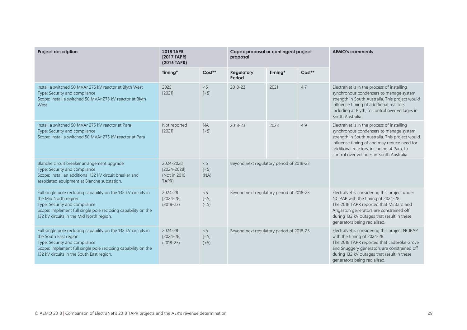| <b>Project description</b>                                                                                                                                                                                                              | <b>2018 TAPR</b><br>[2017 TAPR]<br>(2016 TAPR)     |                                    | Capex proposal or contingent project<br>proposal |         |          | <b>AEMO's comments</b>                                                                                                                                                                                                                                                             |
|-----------------------------------------------------------------------------------------------------------------------------------------------------------------------------------------------------------------------------------------|----------------------------------------------------|------------------------------------|--------------------------------------------------|---------|----------|------------------------------------------------------------------------------------------------------------------------------------------------------------------------------------------------------------------------------------------------------------------------------------|
|                                                                                                                                                                                                                                         | Timing*                                            | Cost**                             | <b>Regulatory</b><br>Period                      | Timing* | $Cost**$ |                                                                                                                                                                                                                                                                                    |
| Install a switched 50 MVAr 275 kV reactor at Blyth West<br>Type: Security and compliance<br>Scope: Install a switched 50 MVAr 275 kV reactor at Blyth<br>West                                                                           | 2025<br>[2021]                                     | < 5<br>$\left[ <5\right]$          | 2018-23                                          | 2021    | 4.7      | ElectraNet is in the process of installing<br>synchronous condensers to manage system<br>strength in South Australia. This project would<br>influence timing of additional reactors,<br>including at Blyth, to control over voltages in<br>South Australia.                        |
| Install a switched 50 MVAr 275 kV reactor at Para<br>Type: Security and compliance<br>Scope: Install a switched 50 MVAr 275 kV reactor at Para                                                                                          | Not reported<br>[2021]                             | <b>NA</b><br>$\lceil$ < 5]         | 2018-23                                          | 2023    | 4.9      | ElectraNet is in the process of installing<br>synchronous condensers to manage system<br>strength in South Australia. This project would<br>influence timing of and may reduce need for<br>additional reactors, including at Para, to<br>control over voltages in South Australia. |
| Blanche circuit breaker arrangement upgrade<br>Type: Security and compliance<br>Scope: Install an additional 132 kV circuit breaker and<br>associated equipment at Blanche substation.                                                  | 2024-2028<br>[2024-2028]<br>(Not in 2016)<br>TAPR) | < 5<br>$\left[ <5\right]$<br>(NA)  | Beyond next regulatory period of 2018-23         |         |          |                                                                                                                                                                                                                                                                                    |
| Full single pole reclosing capability on the 132 kV circuits in<br>the Mid North region<br>Type: Security and compliance<br>Scope: Implement full single pole reclosing capability on the<br>132 kV circuits in the Mid North region.   | 2024-28<br>$[2024 - 28]$<br>$(2018 - 23)$          | < 5<br>$\left[ <5\right]$<br>(< 5) | Beyond next regulatory period of 2018-23         |         |          | ElectraNet is considering this project under<br>NCIPAP with the timing of 2024-28.<br>The 2018 TAPR reported that Mintaro and<br>Angaston generators are constrained off<br>during 132 kV outages that result in these<br>generators being radialised.                             |
| Full single pole reclosing capability on the 132 kV circuits in<br>the South East region<br>Type: Security and compliance<br>Scope: Implement full single pole reclosing capability on the<br>132 kV circuits in the South East region. | 2024-28<br>$[2024 - 28]$<br>$(2018 - 23)$          | < 5<br>$[<5]$<br>(< 5)             | Beyond next regulatory period of 2018-23         |         |          | ElectraNet is considering this project NCIPAP<br>with the timing of 2024-28.<br>The 2018 TAPR reported that Ladbroke Grove<br>and Snuggery generators are constrained off<br>during 132 kV outages that result in these<br>generators being radialised.                            |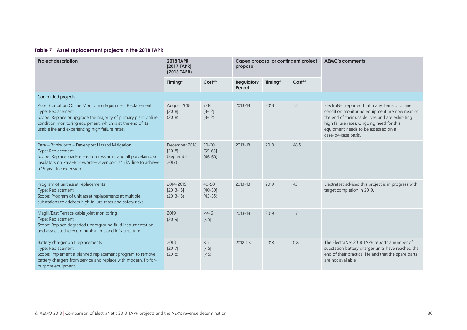#### **Table 7 Asset replacement projects in the 2018 TAPR**

<span id="page-29-0"></span>

| <b>Project description</b>                                                                                                                                                                                                                                       | <b>2018 TAPR</b><br>[2017 TAPR]<br>(2016 TAPR)    |                                       | proposal                    |         | Capex proposal or contingent project | <b>AEMO's comments</b>                                                                                                                                                                                                                                         |
|------------------------------------------------------------------------------------------------------------------------------------------------------------------------------------------------------------------------------------------------------------------|---------------------------------------------------|---------------------------------------|-----------------------------|---------|--------------------------------------|----------------------------------------------------------------------------------------------------------------------------------------------------------------------------------------------------------------------------------------------------------------|
|                                                                                                                                                                                                                                                                  | Timing*                                           | Cost**                                | <b>Regulatory</b><br>Period | Timing* | $Cost**$                             |                                                                                                                                                                                                                                                                |
| Committed projects                                                                                                                                                                                                                                               |                                                   |                                       |                             |         |                                      |                                                                                                                                                                                                                                                                |
| Asset Condition Online Monitoring Equipment Replacement<br>Type: Replacement<br>Scope: Replace or upgrade the majority of primary plant online<br>condition monitoring equipment, which is at the end of its<br>usable life and experiencing high failure rates. | August 2018<br>[2018]<br>(2018)                   | $7 - 10$<br>$[8 - 12]$<br>$(8-12)$    | $2013 - 18$                 | 2018    | 7.5                                  | ElectraNet reported that many items of online<br>condition monitoring equipment are now nearing<br>the end of their usable lives and are exhibiting<br>high failure rates. Ongoing need for this<br>equipment needs to be assessed on a<br>case-by-case basis. |
| Para - Brinkworth - Davenport Hazard Mitigation<br>Type: Replacement<br>Scope: Replace load-releasing cross arms and all porcelain disc<br>insulators on Para-Brinkworth-Davenport 275 kV line to achieve<br>a 15-year life extension.                           | December 2018<br>[2018]<br>(September<br>$2017$ ) | $50 - 60$<br>$[55 - 65]$<br>$(46-60)$ | $2013 - 18$                 | 2018    | 48.5                                 |                                                                                                                                                                                                                                                                |
| Program of unit asset replacements<br>Type: Replacement<br>Scope: Program of unit asset replacements at multiple<br>substations to address high failure rates and safety risks.                                                                                  | 2014-2019<br>$[2013 - 18]$<br>$(2013 - 18)$       | $40 - 50$<br>$[40 - 50]$<br>$(45-55)$ | $2013 - 18$                 | 2019    | 43                                   | ElectraNet advised this project is in progress with<br>target completion in 2019.                                                                                                                                                                              |
| Magill/East Terrace cable joint monitoring<br>Type: Replacement<br>Scope: Replace degraded underground fluid instrumentation<br>and associated telecommunications and infrastructure.                                                                            | 2019<br>[2019]                                    | $< 4-6$<br>$\lceil$ < 5]              | $2013 - 18$                 | 2019    | 1.7                                  |                                                                                                                                                                                                                                                                |
| Battery charger unit replacements<br>Type: Replacement<br>Scope: Implement a planned replacement program to remove<br>battery chargers from service and replace with modern, fit-for-<br>purpose equipment.                                                      | 2018<br>[2017]<br>(2018)                          | < 5<br>$[<5]$<br>(< 5)                | 2018-23                     | 2018    | 0.8                                  | The ElectraNet 2018 TAPR reports a number of<br>substation battery charger units have reached the<br>end of their practical life and that the spare parts<br>are not available.                                                                                |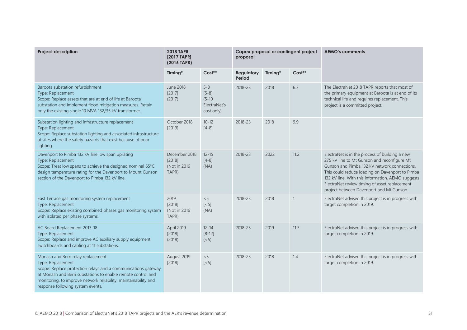| <b>Project description</b>                                                                                                                                                                                                                                                                       | <b>2018 TAPR</b><br>[2017 TAPR]<br>(2016 TAPR)    |                                                                | proposal                    |         | Capex proposal or contingent project | <b>AEMO's comments</b>                                                                                                                                                                                                                                                                                                                             |
|--------------------------------------------------------------------------------------------------------------------------------------------------------------------------------------------------------------------------------------------------------------------------------------------------|---------------------------------------------------|----------------------------------------------------------------|-----------------------------|---------|--------------------------------------|----------------------------------------------------------------------------------------------------------------------------------------------------------------------------------------------------------------------------------------------------------------------------------------------------------------------------------------------------|
|                                                                                                                                                                                                                                                                                                  | Timing*                                           | $Cost**$                                                       | <b>Regulatory</b><br>Period | Timing* | $Cost**$                             |                                                                                                                                                                                                                                                                                                                                                    |
| Baroota substation refurbishment<br>Type: Replacement<br>Scope: Replace assets that are at end of life at Baroota<br>substation and implement flood mitigation measures. Retain<br>only the existing single 10 MVA 132/33 kV transformer.                                                        | June 2018<br>[2017]<br>(2017)                     | $5 - 8$<br>$[5-8]$<br>$(5 - 10)$<br>ElectraNet's<br>cost only) | 2018-23                     | 2018    | 6.3                                  | The ElectraNet 2018 TAPR reports that most of<br>the primary equipment at Baroota is at end of its<br>technical life and requires replacement. This<br>project is a committed project.                                                                                                                                                             |
| Substation lighting and infrastructure replacement<br>Type: Replacement<br>Scope: Replace substation lighting and associated infrastructure<br>at sites where the safety hazards that exist because of poor<br>lighting.                                                                         | October 2018<br>[2019]                            | $10 - 12$<br>$[4-8]$                                           | 2018-23                     | 2018    | 9.9                                  |                                                                                                                                                                                                                                                                                                                                                    |
| Davenport to Pimba 132 kV line low span uprating<br>Type: Replacement<br>Scope: Treat low spans to achieve the designed nominal 65°C<br>design temperature rating for the Davenport to Mount Gunson<br>section of the Davenport to Pimba 132 kV line.                                            | December 2018<br>[2018]<br>(Not in 2016)<br>TAPR) | $12 - 15$<br>$[4-8]$<br>(NA)                                   | 2018-23                     | 2022    | 11.2                                 | ElectraNet is in the process of building a new<br>275 kV line to Mt Gunson and reconfigure Mt<br>Gunson and Pimba 132 kV network connections.<br>This could reduce loading on Davenport to Pimba<br>132 kV line. With this information, AEMO suggests<br>ElectraNet review timing of asset replacement<br>project between Davenport and Mt Gunson. |
| East Terrace gas monitoring system replacement<br>Type: Replacement<br>Scope: Replace existing combined phases gas monitoring system<br>with isolated per phase systems.                                                                                                                         | 2019<br>[2018]<br>(Not in 2016)<br>TAPR)          | < 5<br>$[<5]$<br>(NA)                                          | 2018-23                     | 2018    | $\mathbf{1}$                         | ElectraNet advised this project is in progress with<br>target completion in 2019.                                                                                                                                                                                                                                                                  |
| AC Board Replacement 2013-18<br>Type: Replacement<br>Scope: Replace and improve AC auxiliary supply equipment,<br>switchboards and cabling at 11 substations.                                                                                                                                    | April 2019<br>[2018]<br>(2018)                    | $12 - 14$<br>$[8 - 12]$<br>(< 5)                               | 2018-23                     | 2019    | 11.3                                 | ElectraNet advised this project is in progress with<br>target completion in 2019.                                                                                                                                                                                                                                                                  |
| Monash and Berri relay replacement<br>Type: Replacement<br>Scope: Replace protection relays and a communications gateway<br>at Monash and Berri substations to enable remote control and<br>monitoring, to improve network reliability, maintainability and<br>response following system events. | August 2019<br>[2018]                             | < 5<br>$\left[ < 5 \right]$                                    | 2018-23                     | 2018    | 1.4                                  | ElectraNet advised this project is in progress with<br>target completion in 2019.                                                                                                                                                                                                                                                                  |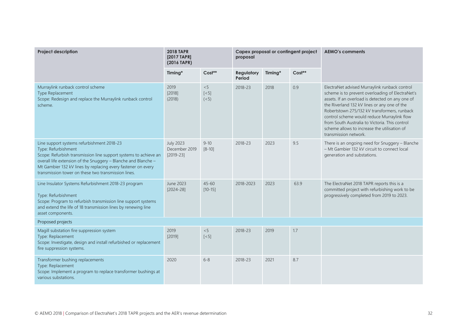| <b>Project description</b>                                                                                                                                                                                                                                                                                                     | <b>2018 TAPR</b><br>[2017 TAPR]<br>(2016 TAPR)   |                        | proposal                    |         | Capex proposal or contingent project | <b>AEMO's comments</b>                                                                                                                                                                                                                                                                                                                                                                                                          |
|--------------------------------------------------------------------------------------------------------------------------------------------------------------------------------------------------------------------------------------------------------------------------------------------------------------------------------|--------------------------------------------------|------------------------|-----------------------------|---------|--------------------------------------|---------------------------------------------------------------------------------------------------------------------------------------------------------------------------------------------------------------------------------------------------------------------------------------------------------------------------------------------------------------------------------------------------------------------------------|
|                                                                                                                                                                                                                                                                                                                                | Timing*                                          | Cost**                 | <b>Regulatory</b><br>Period | Timing* | Cost**                               |                                                                                                                                                                                                                                                                                                                                                                                                                                 |
| Murraylink runback control scheme<br>Type Replacement<br>Scope: Redesign and replace the Murraylink runback control<br>scheme.                                                                                                                                                                                                 | 2019<br>[2018]<br>(2018)                         | < 5<br>$[<5]$<br>(< 5) | 2018-23                     | 2018    | 0.9                                  | ElectraNet advised Murraylink runback control<br>scheme is to prevent overloading of ElectraNet's<br>assets. If an overload is detected on any one of<br>the Riverland 132 kV lines or any one of the<br>Robertstown 275/132 kV transformers, runback<br>control scheme would reduce Murraylink flow<br>from South Australia to Victoria. This control<br>scheme allows to increase the utilisation of<br>transmission network. |
| Line support systems refurbishment 2018-23<br>Type: Refurbishment<br>Scope: Refurbish transmission line support systems to achieve an<br>overall life extension of the Snuggery - Blanche and Blanche -<br>Mt Gambier 132 kV lines by replacing every fastener on every<br>transmission tower on these two transmission lines. | <b>July 2023</b><br>December 2019<br>$[2019-23]$ | $9 - 10$<br>$[8 - 10]$ | 2018-23                     | 2023    | 9.5                                  | There is an ongoing need for Snuggery - Blanche<br>- Mt Gambier 132 kV circuit to connect local<br>generation and substations.                                                                                                                                                                                                                                                                                                  |
| Line Insulator Systems Refurbishment 2018-23 program<br>Type: Refurbishment<br>Scope: Program to refurbish transmission line support systems<br>and extend the life of 18 transmission lines by renewing line<br>asset components.                                                                                             | June 2023<br>$[2024 - 28]$                       | $45 - 60$<br>$[10-15]$ | 2018-2023                   | 2023    | 63.9                                 | The ElectraNet 2018 TAPR reports this is a<br>committed project with refurbishing work to be<br>progressively completed from 2019 to 2023.                                                                                                                                                                                                                                                                                      |
| Proposed projects                                                                                                                                                                                                                                                                                                              |                                                  |                        |                             |         |                                      |                                                                                                                                                                                                                                                                                                                                                                                                                                 |
| Magill substation fire suppression system<br>Type: Replacement<br>Scope: Investigate, design and install refurbished or replacement<br>fire suppression systems.                                                                                                                                                               | 2019<br>[2019]                                   | < 5<br>$[<5]$          | 2018-23                     | 2019    | 1.7                                  |                                                                                                                                                                                                                                                                                                                                                                                                                                 |
| Transformer bushing replacements<br>Type: Replacement<br>Scope: Implement a program to replace transformer bushings at<br>various substations.                                                                                                                                                                                 | 2020                                             | $6 - 8$                | 2018-23                     | 2021    | 8.7                                  |                                                                                                                                                                                                                                                                                                                                                                                                                                 |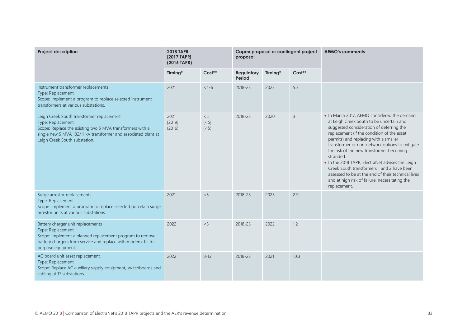| <b>Project description</b>                                                                                                                                                                                                     | <b>2018 TAPR</b><br>[2017 TAPR]<br>(2016 TAPR) |                        | proposal                    |         | Capex proposal or contingent project | <b>AEMO's comments</b>                                                                                                                                                                                                                                                                                                                                                                                                                                                                                                                                          |
|--------------------------------------------------------------------------------------------------------------------------------------------------------------------------------------------------------------------------------|------------------------------------------------|------------------------|-----------------------------|---------|--------------------------------------|-----------------------------------------------------------------------------------------------------------------------------------------------------------------------------------------------------------------------------------------------------------------------------------------------------------------------------------------------------------------------------------------------------------------------------------------------------------------------------------------------------------------------------------------------------------------|
|                                                                                                                                                                                                                                | Timing*                                        | $Cost**$               | <b>Regulatory</b><br>Period | Timing* | Cost**                               |                                                                                                                                                                                                                                                                                                                                                                                                                                                                                                                                                                 |
| Instrument transformer replacements<br>Type: Replacement<br>Scope: Implement a program to replace selected instrument<br>transformers at various substations.                                                                  | 2021                                           | $< 4-6$                | 2018-23                     | 2023    | 5.3                                  |                                                                                                                                                                                                                                                                                                                                                                                                                                                                                                                                                                 |
| Leigh Creek South transformer replacement<br>Type: Replacement<br>Scope: Replace the existing two 5 MVA transformers with a<br>single new 5 MVA 132/11 kV transformer and associated plant at<br>Leigh Creek South substation. | 2021<br>[2019]<br>(2016)                       | < 5<br>$[<5]$<br>(< 5) | 2018-23                     | 2020    | 3                                    | • In March 2017, AEMO considered the demand<br>at Leigh Creek South to be uncertain and<br>suggested consideration of deferring the<br>replacement (if the condition of the asset<br>permits) and replacing with a smaller<br>transformer or non-network options to mitigate<br>the risk of the new transformer becoming<br>stranded.<br>. In the 2018 TAPR, ElectraNet advises the Leigh<br>Creek South transformers 1 and 2 have been<br>assessed to be at the end of their technical lives<br>and at high risk of failure, necessitating the<br>replacement. |
| Surge arrestor replacements<br>Type: Replacement<br>Scope: Implement a program to replace selected porcelain surge<br>arrestor units at various substations.                                                                   | 2021                                           | < 5                    | 2018-23                     | 2023    | 2.9                                  |                                                                                                                                                                                                                                                                                                                                                                                                                                                                                                                                                                 |
| Battery charger unit replacements<br>Type: Replacement<br>Scope: Implement a planned replacement program to remove<br>battery chargers from service and replace with modern, fit-for-<br>purpose equipment.                    | 2022                                           | < 5                    | 2018-23                     | 2022    | 1.2                                  |                                                                                                                                                                                                                                                                                                                                                                                                                                                                                                                                                                 |
| AC board unit asset replacement<br>Type: Replacement<br>Scope: Replace AC auxiliary supply equipment, switchboards and<br>cabling at 17 substations.                                                                           | 2022                                           | $8 - 12$               | 2018-23                     | 2021    | 10.3                                 |                                                                                                                                                                                                                                                                                                                                                                                                                                                                                                                                                                 |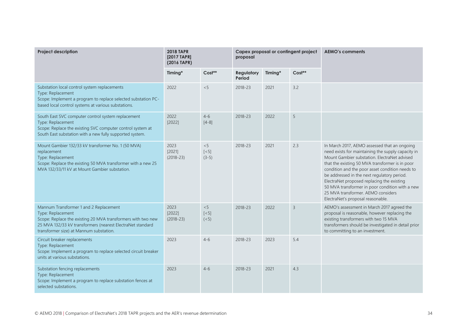| <b>Project description</b>                                                                                                                                                                                                           | <b>2018 TAPR</b><br>[2017 TAPR]<br>(2016 TAPR) |                                        | proposal                    |         | Capex proposal or contingent project | <b>AEMO's comments</b>                                                                                                                                                                                                                                                                                                                                                                                                                                                              |
|--------------------------------------------------------------------------------------------------------------------------------------------------------------------------------------------------------------------------------------|------------------------------------------------|----------------------------------------|-----------------------------|---------|--------------------------------------|-------------------------------------------------------------------------------------------------------------------------------------------------------------------------------------------------------------------------------------------------------------------------------------------------------------------------------------------------------------------------------------------------------------------------------------------------------------------------------------|
|                                                                                                                                                                                                                                      | Timing*                                        | Cost**                                 | <b>Regulatory</b><br>Period | Timing* | Cost**                               |                                                                                                                                                                                                                                                                                                                                                                                                                                                                                     |
| Substation local control system replacements<br>Type: Replacement<br>Scope: Implement a program to replace selected substation PC-<br>based local control systems at various substations.                                            | 2022                                           | < 5                                    | 2018-23                     | 2021    | 3.2                                  |                                                                                                                                                                                                                                                                                                                                                                                                                                                                                     |
| South East SVC computer control system replacement<br>Type: Replacement<br>Scope: Replace the existing SVC computer control system at<br>South East substation with a new fully supported system.                                    | 2022<br>[2022]                                 | $4 - 6$<br>$[4-8]$                     | 2018-23                     | 2022    | 5                                    |                                                                                                                                                                                                                                                                                                                                                                                                                                                                                     |
| Mount Gambier 132/33 kV transformer No. 1 (50 MVA)<br>replacement<br>Type: Replacement<br>Scope: Replace the existing 50 MVA transformer with a new 25<br>MVA 132/33/11 kV at Mount Gambier substation.                              | 2023<br>[2021]<br>$(2018 - 23)$                | < 5<br>$\left[ < 5 \right]$<br>$(3-5)$ | 2018-23                     | 2021    | 2.3                                  | In March 2017, AEMO assessed that an ongoing<br>need exists for maintaining the supply capacity in<br>Mount Gambier substation. ElectraNet advised<br>that the existing 50 MVA transformer is in poor<br>condition and the poor asset condition needs to<br>be addressed in the next regulatory period.<br>ElectraNet proposed replacing the existing<br>50 MVA transformer in poor condition with a new<br>25 MVA transformer, AEMO considers<br>ElectraNet's proposal reasonable. |
| Mannum Transformer 1 and 2 Replacement<br>Type: Replacement<br>Scope: Replace the existing 20 MVA transformers with two new<br>25 MVA 132/33 kV transformers (nearest ElectraNet standard<br>transformer size) at Mannum substation. | 2023<br>[2022]<br>$(2018 - 23)$                | < 5<br>$[<5]$<br>(< 5)                 | 2018-23                     | 2022    | $\overline{3}$                       | AEMO's assessment in March 2017 agreed the<br>proposal is reasonable, however replacing the<br>existing transformers with two 15 MVA<br>transformers should be investigated in detail prior<br>to committing to an investment.                                                                                                                                                                                                                                                      |
| Circuit breaker replacements<br>Type: Replacement<br>Scope: Implement a program to replace selected circuit breaker<br>units at various substations.                                                                                 | 2023                                           | $4 - 6$                                | 2018-23                     | 2023    | 5.4                                  |                                                                                                                                                                                                                                                                                                                                                                                                                                                                                     |
| Substation fencing replacements<br>Type: Replacement<br>Scope: Implement a program to replace substation fences at<br>selected substations.                                                                                          | 2023                                           | $4 - 6$                                | 2018-23                     | 2021    | 4.3                                  |                                                                                                                                                                                                                                                                                                                                                                                                                                                                                     |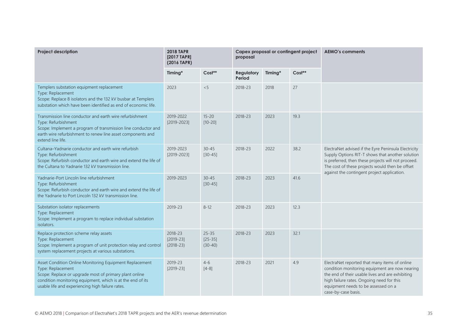| <b>Project description</b>                                                                                                                                                                                                                               | <b>2018 TAPR</b><br>[2017 TAPR]<br>(2016 TAPR) |                                     | Capex proposal or contingent project<br>proposal |         |          | <b>AEMO's comments</b>                                                                                                                                                                                                                                            |
|----------------------------------------------------------------------------------------------------------------------------------------------------------------------------------------------------------------------------------------------------------|------------------------------------------------|-------------------------------------|--------------------------------------------------|---------|----------|-------------------------------------------------------------------------------------------------------------------------------------------------------------------------------------------------------------------------------------------------------------------|
|                                                                                                                                                                                                                                                          | Timing*                                        | Cost**                              | <b>Regulatory</b><br>Period                      | Timing* | $Cost**$ |                                                                                                                                                                                                                                                                   |
| Templers substation equipment replacement<br>Type: Replacement<br>Scope: Replace 8 isolators and the 132 kV busbar at Templers<br>substation which have been identified as end of economic life.                                                         | 2023                                           | < 5                                 | 2018-23                                          | 2018    | 27       |                                                                                                                                                                                                                                                                   |
| Transmission line conductor and earth wire refurbishment<br>Type: Refurbishment<br>Scope: Implement a program of transmission line conductor and<br>earth wire refurbishment to renew line asset components and<br>extend line life.                     | 2019-2022<br>$[2019 - 2023]$                   | $15 - 20$<br>$[10 - 20]$            | 2018-23                                          | 2023    | 19.3     |                                                                                                                                                                                                                                                                   |
| Cultana-Yadnarie conductor and earth wire refurbish<br>Type: Refurbishment<br>Scope: Refurbish conductor and earth wire and extend the life of<br>the Cultana to Yadnarie 132 kV transmission line.                                                      | 2019-2023<br>$[2019 - 2023]$                   | $30 - 45$<br>$[30 - 45]$            | 2018-23                                          | 2022    | 38.2     | ElectraNet advised if the Eyre Peninsula Electricity<br>Supply Options RIT-T shows that another solution<br>is preferred, then these projects will not proceed.<br>The cost of these projects would then be offset<br>against the contingent project application. |
| Yadnarie-Port Lincoln line refurbishment<br>Type: Refurbishment<br>Scope: Refurbish conductor and earth wire and extend the life of<br>the Yadnarie to Port Lincoln 132 kV transmission line.                                                            | 2019-2023                                      | $30 - 45$<br>$[30-45]$              | 2018-23                                          | 2023    | 41.6     |                                                                                                                                                                                                                                                                   |
| Substation isolator replacements<br>Type: Replacement<br>Scope: Implement a program to replace individual substation<br>isolators.                                                                                                                       | 2019-23                                        | $8 - 12$                            | 2018-23                                          | 2023    | 12.3     |                                                                                                                                                                                                                                                                   |
| Replace protection scheme relay assets<br>Type: Replacement<br>Scope: Implement a program of unit protection relay and control<br>system replacement projects at various substations.                                                                    | 2018-23<br>$[2019 - 23]$<br>$(2018-23)$        | $25 - 35$<br>$[25-35]$<br>$(30-40)$ | 2018-23                                          | 2023    | 32.1     |                                                                                                                                                                                                                                                                   |
| Asset Condition Online Monitoring Equipment Replacement<br>Type: Replacement<br>Scope: Replace or upgrade most of primary plant online<br>condition monitoring equipment, which is at the end of its<br>usable life and experiencing high failure rates. | 2019-23<br>$[2019-23]$                         | $4 - 6$<br>$[4-8]$                  | 2018-23                                          | 2021    | 4.9      | ElectraNet reported that many items of online<br>condition monitoring equipment are now nearing<br>the end of their usable lives and are exhibiting<br>high failure rates. Ongoing need for this<br>equipment needs to be assessed on a<br>case-by-case basis.    |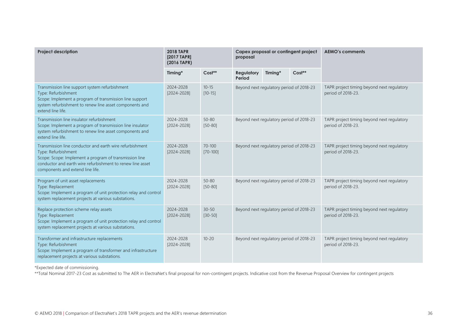| <b>Project description</b>                                                                                                                                                                                                                  | <b>2018 TAPR</b><br>[2017 TAPR]<br>(2016 TAPR) |                            | Capex proposal or contingent project<br>proposal |         |          | <b>AEMO's comments</b>                                           |
|---------------------------------------------------------------------------------------------------------------------------------------------------------------------------------------------------------------------------------------------|------------------------------------------------|----------------------------|--------------------------------------------------|---------|----------|------------------------------------------------------------------|
|                                                                                                                                                                                                                                             | Timing*                                        | Cost**                     | <b>Regulatory</b><br>Period                      | Timing* | $Cost**$ |                                                                  |
| Transmission line support system refurbishment<br>Type: Refurbishment<br>Scope: Implement a program of transmission line support<br>system refurbishment to renew line asset components and<br>extend line life.                            | 2024-2028<br>[2024-2028]                       | $10 - 15$<br>$[10 - 15]$   | Beyond next regulatory period of 2018-23         |         |          | TAPR project timing beyond next regulatory<br>period of 2018-23. |
| Transmission line insulator refurbishment<br>Scope: Implement a program of transmission line insulator<br>system refurbishment to renew line asset components and<br>extend line life.                                                      | 2024-2028<br>[2024-2028]                       | $50 - 80$<br>$[50 - 80]$   | Beyond next regulatory period of 2018-23         |         |          | TAPR project timing beyond next regulatory<br>period of 2018-23. |
| Transmission line conductor and earth wire refurbishment<br>Type: Refurbishment<br>Scope: Scope: Implement a program of transmission line<br>conductor and earth wire refurbishment to renew line asset<br>components and extend line life. | 2024-2028<br>$[2024 - 2028]$                   | $70 - 100$<br>$[70 - 100]$ | Beyond next regulatory period of 2018-23         |         |          | TAPR project timing beyond next regulatory<br>period of 2018-23. |
| Program of unit asset replacements<br>Type: Replacement<br>Scope: Implement a program of unit protection relay and control<br>system replacement projects at various substations.                                                           | 2024-2028<br>$[2024 - 2028]$                   | $50 - 80$<br>$[50 - 80]$   | Beyond next regulatory period of 2018-23         |         |          | TAPR project timing beyond next regulatory<br>period of 2018-23. |
| Replace protection scheme relay assets<br>Type: Replacement<br>Scope: Implement a program of unit protection relay and control<br>system replacement projects at various substations.                                                       | 2024-2028<br>[2024-2028]                       | $30 - 50$<br>$[30 - 50]$   | Beyond next regulatory period of 2018-23         |         |          | TAPR project timing beyond next regulatory<br>period of 2018-23. |
| Transformer and infrastructure replacements<br>Type: Refurbishment<br>Scope: Implement a program of transformer and infrastructure<br>replacement projects at various substations.                                                          | 2024-2028<br>[2024-2028]                       | $10 - 20$                  | Beyond next regulatory period of 2018-23         |         |          | TAPR project timing beyond next regulatory<br>period of 2018-23. |

\*Expected date of commissioning.

\*\*Total Nominal 2017-23 Cost as submitted to The AER in ElectraNet's final proposal for non-contingent projects. Indicative cost from the Revenue Proposal Overview for contingent projects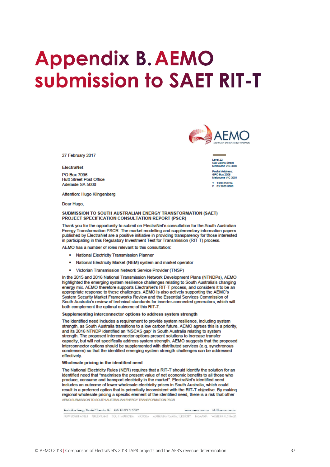# <span id="page-36-0"></span>**Appendix B. AEMO** submission to SAET RIT-T



#### ElectraNet

PO Box 7096 **Hutt Street Post Office** Adelaide SA 5000

Attention: Hugo Klingenberg

Dear Hugo,

#### SUBMISSION TO SOUTH AUSTRALIAN ENERGY TRANSFORMATION (SAET) PROJECT SPECIFICATION CONSULTATION REPORT (PSCR)

Thank you for the opportunity to submit on ElectraNet's consultation for the South Australian Energy Transformation PSCR. The market modelling and supplementary information papers published by ElectraNet are a positive initiative in providing transparency for those interested in participating in this Regulatory Investment Test for Transmission (RIT-T) process.

AEMO has a number of roles relevant to this consultation:

- National Electricity Transmission Planner
- National Electricity Market (NEM) system and market operator
- Victorian Transmission Network Service Provider (TNSP)

In the 2015 and 2016 National Transmission Network Development Plans (NTNDPs), AEMO highlighted the emerging system resilience challenges relating to South Australia's changing energy mix. AEMO therefore supports ElectraNet's RIT-T process, and considers it to be an appropriate response to these challenges. AEMO is also actively supporting the AEMC's System Security Market Frameworks Review and the Essential Services Commission of South Australia's review of technical standards for inverter-connected generators, which will both complement the optimal outcome of this RIT-T.

#### Supplementing interconnector options to address system strength

The identified need includes a requirement to provide system resilience, including system strength, as South Australia transitions to a low carbon future. AEMO agrees this is a priority, and its 2016 NTNDP identified an 'NSCAS gap' in South Australia relating to system strength. The proposed interconnector options present solutions to increase transfer capacity, but will not specifically address system strength. AEMO suggests that the proposed interconnector options should be supplemented with distributed services (e.g. synchronous condensers) so that the identified emerging system strength challenges can be addressed effectively.

#### Wholesale pricing in the identified need

The National Electricity Rules (NER) requires that a RIT-T should identify the solution for an identified need that "maximises the present value of net economic benefits to all those who produce, consume and transport electricity in the market". ElectraNet's identified need includes an outcome of lower wholesale electricity prices in South Australia, which could result in a preferred option that is potentially inconsistent with the RIT-T objective. By making regional wholesale pricing a specific element of the identified need, there is a risk that other AEMO SUBMISSION TO SOUTH AUSTRALIAN ENERGY TRANSFORMATION PSCR

Auchalten Energy Market Operator Ud ABN 04-072-010-327 www.comp.com.cu info@comp.com.cu 



Level 22 saver.com<br>530 Collins Street<br>Melbourne VIC 3000 ctal Address: O Box 2008<br>bourne VIC 3001 T 1300 858724<br>F 03 9609 8080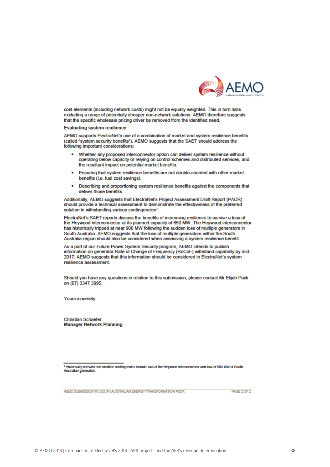

cost elements (including network costs) might not be equally weighted. This in turn risks excluding a range of potentially cheaper non-network solutions. AEMO therefore suggests that the specific wholesale pricing driver be removed from the identified need.

#### **Evaluating system resilience**

AEMO supports ElectraNet's use of a combination of market and system resilience benefits (called "system security benefits"). AEMO suggests that the SAET should address the following important considerations:

- Whether any proposed interconnector option can deliver system resilience without operating below capacity or relying on control schemes and distributed services, and the resultant impact on potential market benefits.
- Ensuring that system resilience benefits are not double-counted with other market benefits (i.e. fuel cost savings).
- Describing and proportioning system resilience benefits against the components that  $\bullet$ deliver those benefits.

Additionally, AEMO suggests that ElectraNet's Project Assessment Draft Report (PADR) should provide a technical assessment to demonstrate the effectiveness of the preferred solution in withstanding various contingencies<sup>1</sup>.

ElectraNet's SAET reports discuss the benefits of increasing resilience to survive a loss of the Heywood interconnector at its planned capacity of 650 MW. The Heywood interconnector has historically tripped at near 900 MW following the sudden loss of multiple generators in South Australia. AEMO suggests that the loss of multiple generators within the South Australia region should also be considered when assessing a system resilience benefit.

As a part of our Future Power System Security program, AEMO intends to publish information on generator Rate of Change of Frequency (RoCoF) withstand capability by mid-2017. AEMO suggests that this information should be considered in ElectraNet's system resilience assessment.

Should you have any questions in relation to this submission, please contact Mr Elijah Pack on (07) 3347 3995.

**Yours sincerely** 

**Christian Schaefer Manager Network Planning** 

1 Historically relevant non-credible contingencies include loss of the Heywood Interconnector and loss of 500 MW of South<br>Australian generation.

AEMO SUBMISSION TO SOUTH AUSTRALIAN ENERGY TRANSFORMATION PSCR

PAGE 2 OF 2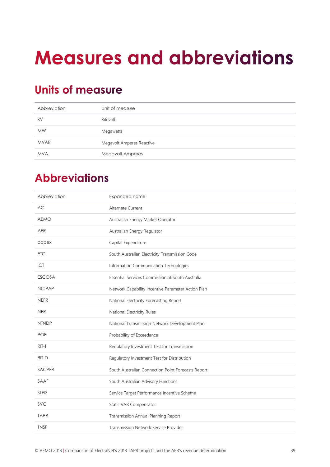# <span id="page-38-0"></span>**Measures and abbreviations**

## <span id="page-38-1"></span>**Units of measure**

| Abbreviation | Unit of measure           |
|--------------|---------------------------|
| kV           | Kilovolt                  |
| <b>MW</b>    | Megawatts                 |
| <b>MVAR</b>  | Megavolt Amperes Reactive |
| <b>MVA</b>   | <b>Megavolt Amperes</b>   |

## <span id="page-38-2"></span>**Abbreviations**

| Abbreviation  | Expanded name                                      |
|---------------|----------------------------------------------------|
| <b>AC</b>     | Alternate Current                                  |
| <b>AEMO</b>   | Australian Energy Market Operator                  |
| <b>AER</b>    | Australian Energy Regulator                        |
| capex         | Capital Expenditure                                |
| <b>ETC</b>    | South Australian Electricity Transmission Code     |
| ICT           | Information Communication Technologies             |
| <b>ESCOSA</b> | Essential Services Commission of South Australia   |
| <b>NCIPAP</b> | Network Capability Incentive Parameter Action Plan |
| <b>NEFR</b>   | National Electricity Forecasting Report            |
| <b>NER</b>    | National Electricity Rules                         |
| <b>NTNDP</b>  | National Transmission Network Development Plan     |
| <b>POE</b>    | Probability of Exceedance                          |
| RIT-T         | Regulatory Investment Test for Transmission        |
| RIT-D         | Regulatory Investment Test for Distribution        |
| SACPFR        | South Australian Connection Point Forecasts Report |
| SAAF          | South Australian Advisory Functions                |
| <b>STPIS</b>  | Service Target Performance Incentive Scheme        |
| <b>SVC</b>    | Static VAR Compensator                             |
| <b>TAPR</b>   | Transmission Annual Planning Report                |
| <b>TNSP</b>   | Transmission Network Service Provider              |